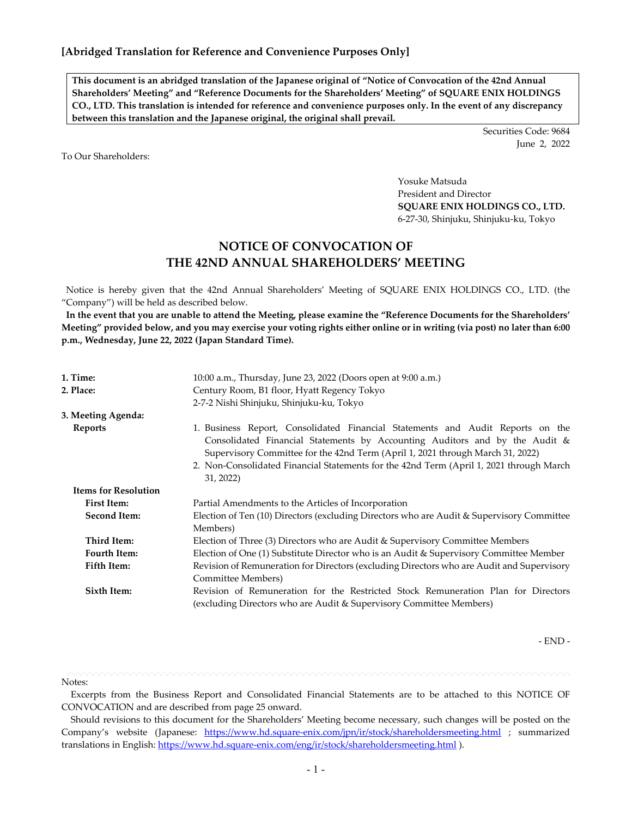**This document is an abridged translation of the Japanese original of "Notice of Convocation of the 42nd Annual Shareholders' Meeting" and "Reference Documents for the Shareholders' Meeting" of SQUARE ENIX HOLDINGS CO., LTD. This translation is intended for reference and convenience purposes only. In the event of any discrepancy between this translation and the Japanese original, the original shall prevail.**

> Securities Code: 9684 June 2, 2022

To Our Shareholders:

Yosuke Matsuda President and Director **SQUARE ENIX HOLDINGS CO., LTD.** 6-27-30, Shinjuku, Shinjuku-ku, Tokyo

# **NOTICE OF CONVOCATION OF THE 42ND ANNUAL SHAREHOLDERS' MEETING**

Notice is hereby given that the 42nd Annual Shareholders' Meeting of SQUARE ENIX HOLDINGS CO., LTD. (the "Company") will be held as described below.

**In the event that you are unable to attend the Meeting, please examine the "Reference Documents for the Shareholders' Meeting" provided below, and you may exercise your voting rights either online or in writing (via post) no later than 6:00 p.m., Wednesday, June 22, 2022 (Japan Standard Time).**

| 1. Time:                    | 10:00 a.m., Thursday, June 23, 2022 (Doors open at 9:00 a.m.)                                                                                                                                                                                                                                                                                           |  |  |  |  |  |
|-----------------------------|---------------------------------------------------------------------------------------------------------------------------------------------------------------------------------------------------------------------------------------------------------------------------------------------------------------------------------------------------------|--|--|--|--|--|
| 2. Place:                   | Century Room, B1 floor, Hyatt Regency Tokyo                                                                                                                                                                                                                                                                                                             |  |  |  |  |  |
|                             | 2-7-2 Nishi Shinjuku, Shinjuku-ku, Tokyo                                                                                                                                                                                                                                                                                                                |  |  |  |  |  |
| 3. Meeting Agenda:          |                                                                                                                                                                                                                                                                                                                                                         |  |  |  |  |  |
| <b>Reports</b>              | 1. Business Report, Consolidated Financial Statements and Audit Reports on the<br>Consolidated Financial Statements by Accounting Auditors and by the Audit &<br>Supervisory Committee for the 42nd Term (April 1, 2021 through March 31, 2022)<br>2. Non-Consolidated Financial Statements for the 42nd Term (April 1, 2021 through March<br>31, 2022) |  |  |  |  |  |
| <b>Items for Resolution</b> |                                                                                                                                                                                                                                                                                                                                                         |  |  |  |  |  |
| <b>First Item:</b>          | Partial Amendments to the Articles of Incorporation                                                                                                                                                                                                                                                                                                     |  |  |  |  |  |
| Second Item:                | Election of Ten (10) Directors (excluding Directors who are Audit & Supervisory Committee<br>Members)                                                                                                                                                                                                                                                   |  |  |  |  |  |
| Third Item:                 | Election of Three (3) Directors who are Audit & Supervisory Committee Members                                                                                                                                                                                                                                                                           |  |  |  |  |  |
| <b>Fourth Item:</b>         | Election of One (1) Substitute Director who is an Audit & Supervisory Committee Member                                                                                                                                                                                                                                                                  |  |  |  |  |  |
| Fifth Item:                 | Revision of Remuneration for Directors (excluding Directors who are Audit and Supervisory<br>Committee Members)                                                                                                                                                                                                                                         |  |  |  |  |  |
| Sixth Item:                 | Revision of Remuneration for the Restricted Stock Remuneration Plan for Directors<br>(excluding Directors who are Audit & Supervisory Committee Members)                                                                                                                                                                                                |  |  |  |  |  |

- END -

Notes:

Excerpts from the Business Report and Consolidated Financial Statements are to be attached to this NOTICE OF CONVOCATION and are described from page 25 onward.

Should revisions to this document for the Shareholders' Meeting become necessary, such changes will be posted on the Company's website (Japanese: <https://www.hd.square-enix.com/jpn/ir/stock/shareholdersmeeting.html> ; summarized translations in English:<https://www.hd.square-enix.com/eng/ir/stock/shareholdersmeeting.html> ).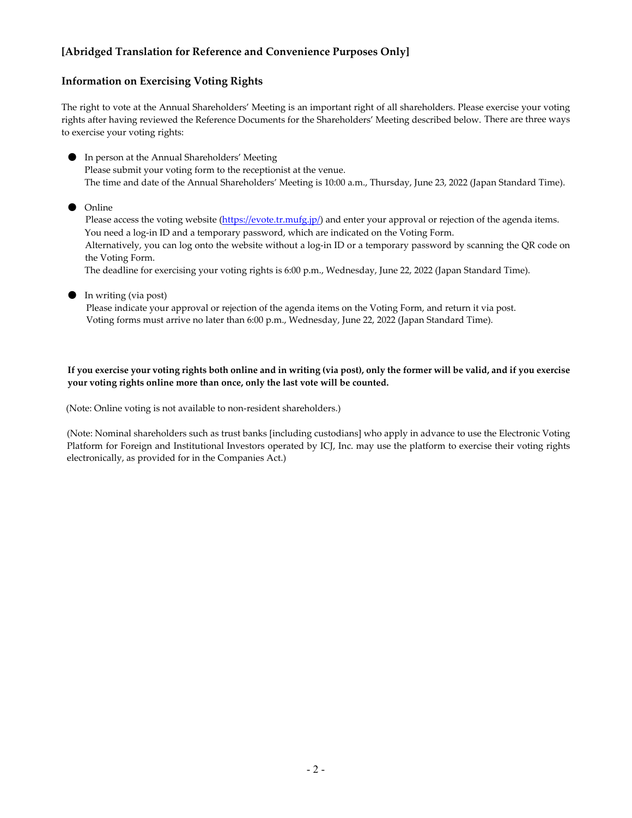#### **Information on Exercising Voting Rights**

The right to vote at the Annual Shareholders' Meeting is an important right of all shareholders. Please exercise your voting rights after having reviewed the Reference Documents for the Shareholders' Meeting described below. There are three ways to exercise your voting rights:

● In person at the Annual Shareholders' Meeting Please submit your voting form to the receptionist at the venue. The time and date of the Annual Shareholders' Meeting is 10:00 a.m., Thursday, June 23, 2022 (Japan Standard Time).

● Online

Please access the voting website [\(https://evote.tr.mufg.jp/\)](https://evote.tr.mufg.jp/) and enter your approval or rejection of the agenda items. You need a log-in ID and a temporary password, which are indicated on the Voting Form. Alternatively, you can log onto the website without a log-in ID or a temporary password by scanning the QR code on the Voting Form. The deadline for exercising your voting rights is 6:00 p.m., Wednesday, June 22, 2022 (Japan Standard Time).

● In writing (via post) Please indicate your approval or rejection of the agenda items on the Voting Form, and return it via post. Voting forms must arrive no later than 6:00 p.m., Wednesday, June 22, 2022 (Japan Standard Time).

**If you exercise your voting rights both online and in writing (via post), only the former will be valid, and if you exercise your voting rights online more than once, only the last vote will be counted.**

(Note: Online voting is not available to non-resident shareholders.)

(Note: Nominal shareholders such as trust banks [including custodians] who apply in advance to use the Electronic Voting Platform for Foreign and Institutional Investors operated by ICJ, Inc. may use the platform to exercise their voting rights electronically, as provided for in the Companies Act.)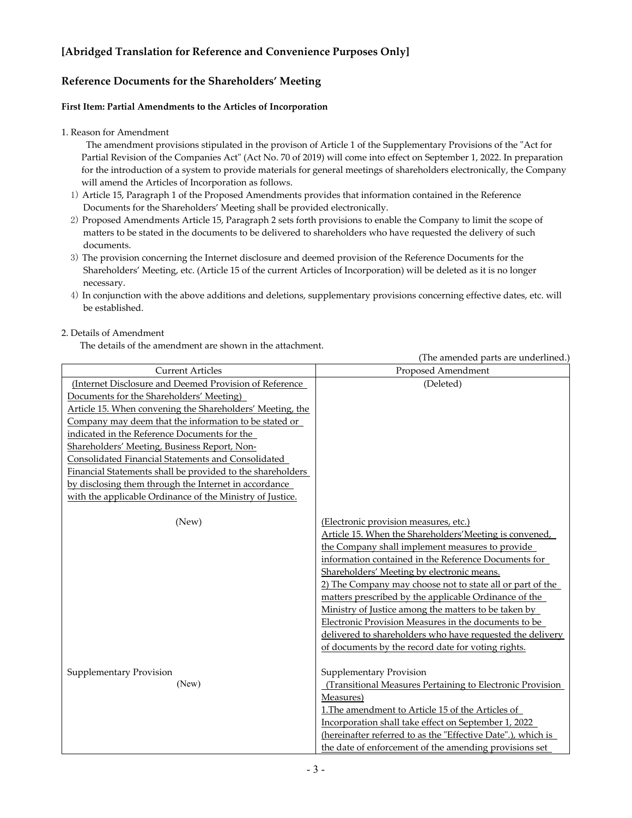### **Reference Documents for the Shareholders' Meeting**

#### **First Item: Partial Amendments to the Articles of Incorporation**

#### 1. Reason for Amendment

The amendment provisions stipulated in the provison of Article 1 of the Supplementary Provisions of the "Act for Partial Revision of the Companies Act" (Act No. 70 of 2019) will come into effect on September 1, 2022. In preparation for the introduction of a system to provide materials for general meetings of shareholders electronically, the Company will amend the Articles of Incorporation as follows.

- 1) Article 15, Paragraph 1 of the Proposed Amendments provides that information contained in the Reference Documents for the Shareholders' Meeting shall be provided electronically.
- 2) Proposed Amendments Article 15, Paragraph 2 sets forth provisions to enable the Company to limit the scope of matters to be stated in the documents to be delivered to shareholders who have requested the delivery of such documents.
- 3) The provision concerning the Internet disclosure and deemed provision of the Reference Documents for the Shareholders' Meeting, etc. (Article 15 of the current Articles of Incorporation) will be deleted as it is no longer necessary.
- 4) In conjunction with the above additions and deletions, supplementary provisions concerning effective dates, etc. will be established.

#### 2. Details of Amendment

The details of the amendment are shown in the attachment.

|                                                                                                                                                                                                                                                                                                                                                                                                                                                                                                                                                                    | (The amended parts are underlined.)                                                                                                                                                                                                                                                                                                                                                                                                                                                                                                                                                                                |
|--------------------------------------------------------------------------------------------------------------------------------------------------------------------------------------------------------------------------------------------------------------------------------------------------------------------------------------------------------------------------------------------------------------------------------------------------------------------------------------------------------------------------------------------------------------------|--------------------------------------------------------------------------------------------------------------------------------------------------------------------------------------------------------------------------------------------------------------------------------------------------------------------------------------------------------------------------------------------------------------------------------------------------------------------------------------------------------------------------------------------------------------------------------------------------------------------|
| <b>Current Articles</b>                                                                                                                                                                                                                                                                                                                                                                                                                                                                                                                                            | Proposed Amendment                                                                                                                                                                                                                                                                                                                                                                                                                                                                                                                                                                                                 |
| (Internet Disclosure and Deemed Provision of Reference<br>Documents for the Shareholders' Meeting)<br>Article 15. When convening the Shareholders' Meeting, the<br>Company may deem that the information to be stated or<br>indicated in the Reference Documents for the<br>Shareholders' Meeting, Business Report, Non-<br>Consolidated Financial Statements and Consolidated<br>Financial Statements shall be provided to the shareholders<br>by disclosing them through the Internet in accordance<br>with the applicable Ordinance of the Ministry of Justice. | (Deleted)                                                                                                                                                                                                                                                                                                                                                                                                                                                                                                                                                                                                          |
| (New)                                                                                                                                                                                                                                                                                                                                                                                                                                                                                                                                                              | (Electronic provision measures, etc.)<br>Article 15. When the Shareholders' Meeting is convened,<br>the Company shall implement measures to provide<br>information contained in the Reference Documents for<br>Shareholders' Meeting by electronic means.<br>2) The Company may choose not to state all or part of the<br>matters prescribed by the applicable Ordinance of the<br>Ministry of Justice among the matters to be taken by<br>Electronic Provision Measures in the documents to be<br>delivered to shareholders who have requested the delivery<br>of documents by the record date for voting rights. |
| Supplementary Provision<br>(New)                                                                                                                                                                                                                                                                                                                                                                                                                                                                                                                                   | Supplementary Provision<br>(Transitional Measures Pertaining to Electronic Provision)<br>Measures)<br>1. The amendment to Article 15 of the Articles of<br>Incorporation shall take effect on September 1, 2022<br>(hereinafter referred to as the "Effective Date".), which is<br>the date of enforcement of the amending provisions set                                                                                                                                                                                                                                                                          |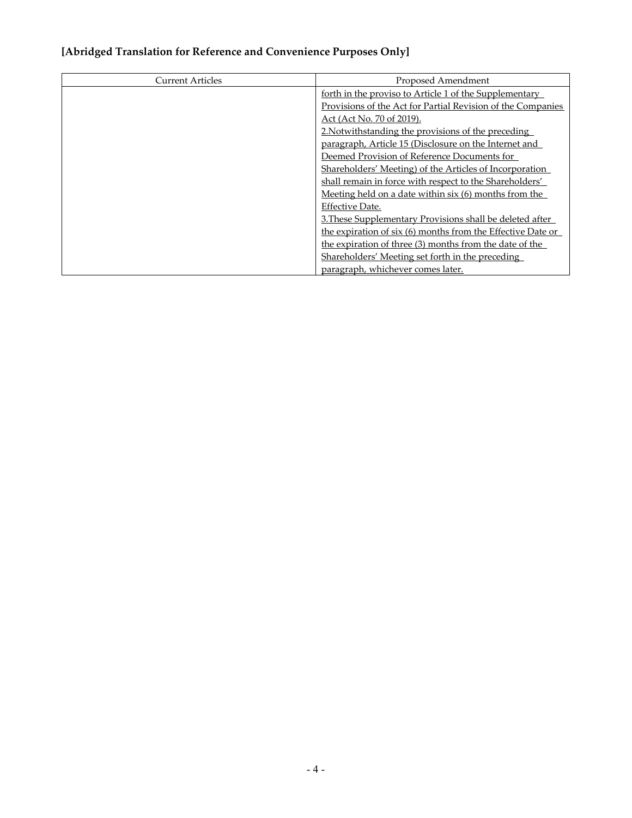| <b>Current Articles</b> | Proposed Amendment                                          |
|-------------------------|-------------------------------------------------------------|
|                         | forth in the proviso to Article 1 of the Supplementary      |
|                         | Provisions of the Act for Partial Revision of the Companies |
|                         | <u>Act</u> (Act No. 70 of 2019).                            |
|                         | 2. Notwithstanding the provisions of the preceding          |
|                         | paragraph, Article 15 (Disclosure on the Internet and       |
|                         | Deemed Provision of Reference Documents for                 |
|                         | Shareholders' Meeting) of the Articles of Incorporation     |
|                         | shall remain in force with respect to the Shareholders'     |
|                         | Meeting held on a date within six (6) months from the       |
|                         | Effective Date.                                             |
|                         | 3. These Supplementary Provisions shall be deleted after    |
|                         | the expiration of six (6) months from the Effective Date or |
|                         | the expiration of three (3) months from the date of the     |
|                         | Shareholders' Meeting set forth in the preceding            |
|                         | paragraph, whichever comes later.                           |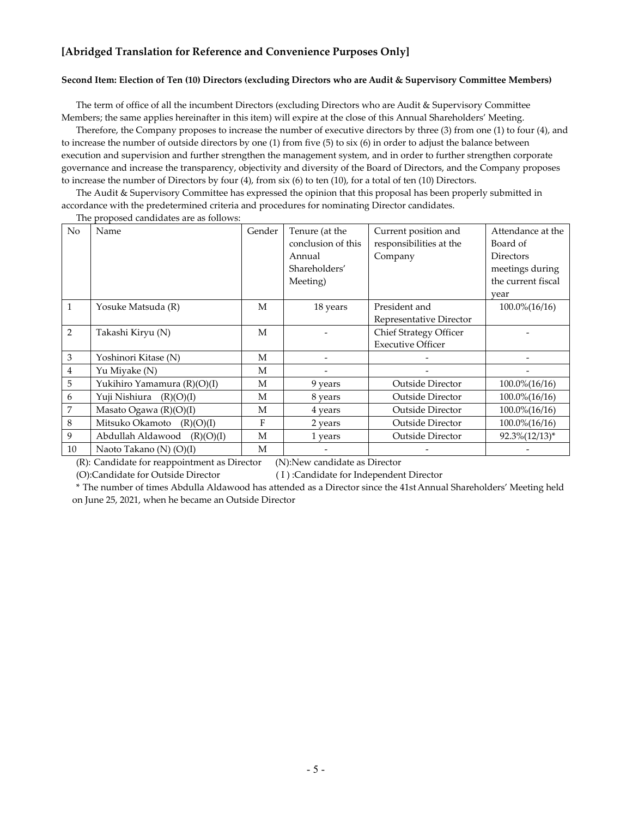#### **Second Item: Election of Ten (10) Directors (excluding Directors who are Audit & Supervisory Committee Members)**

The term of office of all the incumbent Directors (excluding Directors who are Audit & Supervisory Committee Members; the same applies hereinafter in this item) will expire at the close of this Annual Shareholders' Meeting.

Therefore, the Company proposes to increase the number of executive directors by three (3) from one (1) to four (4), and to increase the number of outside directors by one (1) from five (5) to six (6) in order to adjust the balance between execution and supervision and further strengthen the management system, and in order to further strengthen corporate governance and increase the transparency, objectivity and diversity of the Board of Directors, and the Company proposes to increase the number of Directors by four (4), from six (6) to ten (10), for a total of ten (10) Directors.

The Audit & Supervisory Committee has expressed the opinion that this proposal has been properly submitted in accordance with the predetermined criteria and procedures for nominating Director candidates.

| No           | Name                         | Gender | Tenure (at the     | Current position and          | Attendance at the      |
|--------------|------------------------------|--------|--------------------|-------------------------------|------------------------|
|              |                              |        | conclusion of this | responsibilities at the       | Board of               |
|              |                              |        | Annual             | Company                       | Directors              |
|              |                              |        | Shareholders'      |                               | meetings during        |
|              |                              |        | Meeting)           |                               | the current fiscal     |
|              |                              |        |                    |                               | year                   |
| $\mathbf{1}$ | Yosuke Matsuda (R)           | М      | 18 years           | President and                 | $100.0\frac{6}{16/16}$ |
|              |                              |        |                    | Representative Director       |                        |
| 2            | Takashi Kiryu (N)            | М      |                    | <b>Chief Strategy Officer</b> |                        |
|              |                              |        |                    | <b>Executive Officer</b>      |                        |
| 3            | Yoshinori Kitase (N)         | М      |                    |                               |                        |
| 4            | Yu Miyake (N)                | M      |                    |                               |                        |
| 5            | Yukihiro Yamamura (R)(O)(I)  | M      | 9 years            | <b>Outside Director</b>       | $100.0\frac{6}{16/16}$ |
| 6            | Yuji Nishiura<br>(R)(O)(I)   | М      | 8 years            | <b>Outside Director</b>       | 100.0%(16/16)          |
| 7            | Masato Ogawa $(R)(O)(I)$     | M      | 4 years            | <b>Outside Director</b>       | $100.0\frac{6}{16/16}$ |
| 8            | Mitsuko Okamoto<br>(R)(O)(I) | F      | 2 years            | <b>Outside Director</b>       | $100.0\frac{6}{16/16}$ |
| 9            | Abdullah Aldawood (R)(O)(I)  | M      | 1 years            | <b>Outside Director</b>       | $92.3\%(12/13)*$       |
| 10           | Naoto Takano (N) (O)(I)      | M      |                    |                               |                        |

The proposed candidates are as follows:

(R): Candidate for reappointment as Director (N):New candidate as Director

(O):Candidate for Outside Director ( I ) :Candidate for Independent Director

\* The number of times Abdulla Aldawood has attended as a Director since the 41st Annual Shareholders' Meeting held on June 25, 2021, when he became an Outside Director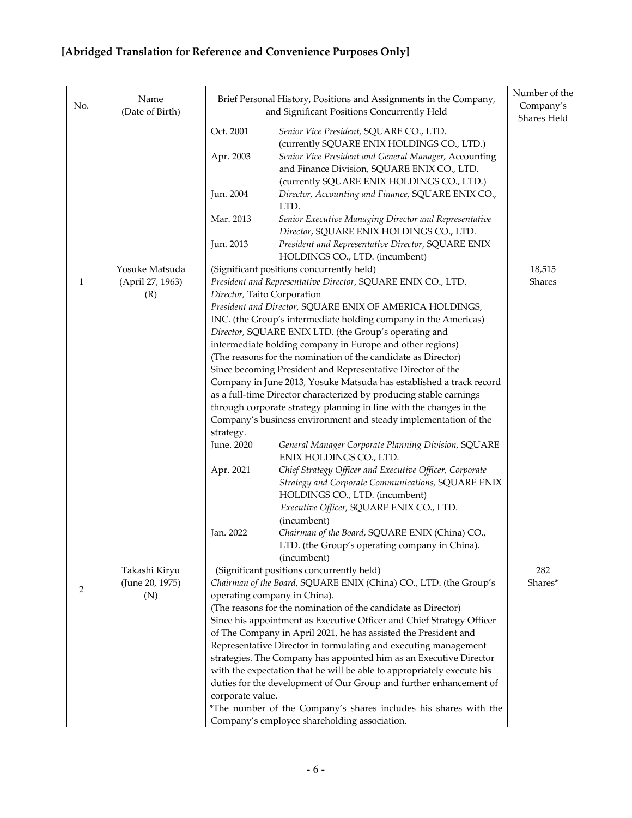| No.          | Name<br>(Date of Birth) |                                                                     | Brief Personal History, Positions and Assignments in the Company,<br>and Significant Positions Concurrently Held                                        | Number of the<br>Company's |
|--------------|-------------------------|---------------------------------------------------------------------|---------------------------------------------------------------------------------------------------------------------------------------------------------|----------------------------|
|              |                         | Oct. 2001                                                           | Senior Vice President, SQUARE CO., LTD.                                                                                                                 | Shares Held                |
|              |                         | Apr. 2003                                                           | (currently SQUARE ENIX HOLDINGS CO., LTD.)<br>Senior Vice President and General Manager, Accounting<br>and Finance Division, SQUARE ENIX CO., LTD.      |                            |
|              |                         | Jun. 2004                                                           | (currently SQUARE ENIX HOLDINGS CO., LTD.)<br>Director, Accounting and Finance, SQUARE ENIX CO.,<br>LTD.                                                |                            |
|              |                         | Mar. 2013<br>Jun. 2013                                              | Senior Executive Managing Director and Representative<br>Director, SQUARE ENIX HOLDINGS CO., LTD.<br>President and Representative Director, SQUARE ENIX |                            |
|              | Yosuke Matsuda          |                                                                     | HOLDINGS CO., LTD. (incumbent)<br>(Significant positions concurrently held)                                                                             | 18,515                     |
| $\mathbf{1}$ | (April 27, 1963)        |                                                                     | President and Representative Director, SQUARE ENIX CO., LTD.                                                                                            | Shares                     |
|              | (R)                     |                                                                     | Director, Taito Corporation                                                                                                                             |                            |
|              |                         |                                                                     | President and Director, SQUARE ENIX OF AMERICA HOLDINGS,                                                                                                |                            |
|              |                         |                                                                     | INC. (the Group's intermediate holding company in the Americas)                                                                                         |                            |
|              |                         |                                                                     | Director, SQUARE ENIX LTD. (the Group's operating and                                                                                                   |                            |
|              |                         |                                                                     | intermediate holding company in Europe and other regions)                                                                                               |                            |
|              |                         |                                                                     | (The reasons for the nomination of the candidate as Director)<br>Since becoming President and Representative Director of the                            |                            |
|              |                         | Company in June 2013, Yosuke Matsuda has established a track record |                                                                                                                                                         |                            |
|              |                         | as a full-time Director characterized by producing stable earnings  |                                                                                                                                                         |                            |
|              |                         |                                                                     | through corporate strategy planning in line with the changes in the                                                                                     |                            |
|              |                         |                                                                     | Company's business environment and steady implementation of the                                                                                         |                            |
|              |                         | strategy.                                                           |                                                                                                                                                         |                            |
|              |                         | June. 2020                                                          | General Manager Corporate Planning Division, SQUARE                                                                                                     |                            |
|              |                         |                                                                     | ENIX HOLDINGS CO., LTD.                                                                                                                                 |                            |
|              |                         | Apr. 2021                                                           | Chief Strategy Officer and Executive Officer, Corporate<br>Strategy and Corporate Communications, SQUARE ENIX                                           |                            |
|              |                         |                                                                     | HOLDINGS CO., LTD. (incumbent)                                                                                                                          |                            |
|              |                         |                                                                     | Executive Officer, SQUARE ENIX CO., LTD.                                                                                                                |                            |
|              |                         |                                                                     | (incumbent)                                                                                                                                             |                            |
|              |                         | Jan. 2022                                                           | Chairman of the Board, SQUARE ENIX (China) CO.,                                                                                                         |                            |
|              |                         |                                                                     | LTD. (the Group's operating company in China).                                                                                                          |                            |
|              |                         |                                                                     | (incumbent)                                                                                                                                             |                            |
|              | Takashi Kiryu           |                                                                     | (Significant positions concurrently held)                                                                                                               | 282                        |
| 2            | (June 20, 1975)         |                                                                     | Chairman of the Board, SQUARE ENIX (China) CO., LTD. (the Group's                                                                                       | Shares*                    |
|              | (N)                     |                                                                     | operating company in China).<br>(The reasons for the nomination of the candidate as Director)                                                           |                            |
|              |                         |                                                                     | Since his appointment as Executive Officer and Chief Strategy Officer                                                                                   |                            |
|              |                         |                                                                     | of The Company in April 2021, he has assisted the President and                                                                                         |                            |
|              |                         |                                                                     | Representative Director in formulating and executing management                                                                                         |                            |
|              |                         |                                                                     | strategies. The Company has appointed him as an Executive Director                                                                                      |                            |
|              |                         |                                                                     | with the expectation that he will be able to appropriately execute his                                                                                  |                            |
|              |                         |                                                                     | duties for the development of Our Group and further enhancement of                                                                                      |                            |
|              |                         | corporate value.                                                    |                                                                                                                                                         |                            |
|              |                         |                                                                     | *The number of the Company's shares includes his shares with the                                                                                        |                            |
|              |                         |                                                                     | Company's employee shareholding association.                                                                                                            |                            |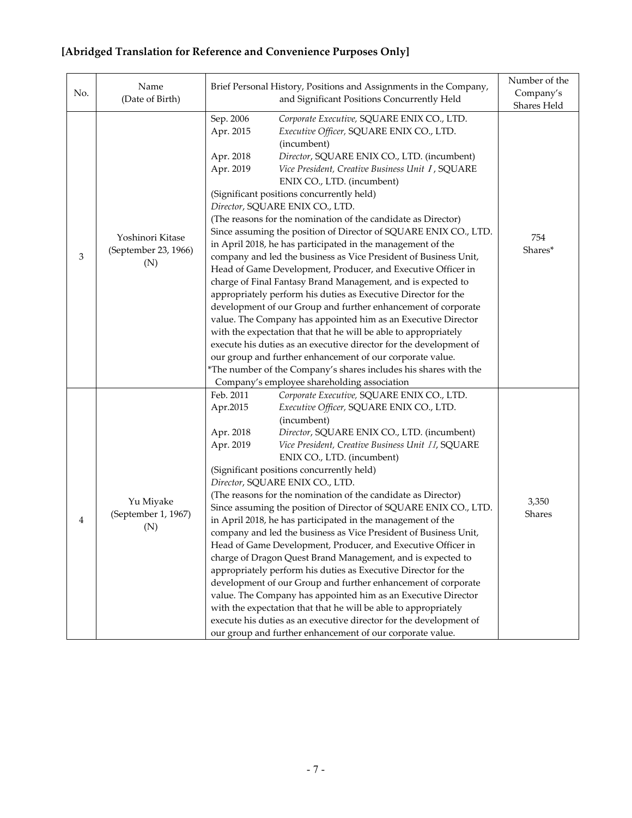| No. | Name<br>(Date of Birth)                         | Brief Personal History, Positions and Assignments in the Company,<br>and Significant Positions Concurrently Held                                                                                                                                                                                                                                                                                                                                                                                                                                                                                                                                                                                                                                                                                                                                                                                                                                                                                                                                                                                                                                                                                                                                                                                                | Number of the<br>Company's<br>Shares Held |
|-----|-------------------------------------------------|-----------------------------------------------------------------------------------------------------------------------------------------------------------------------------------------------------------------------------------------------------------------------------------------------------------------------------------------------------------------------------------------------------------------------------------------------------------------------------------------------------------------------------------------------------------------------------------------------------------------------------------------------------------------------------------------------------------------------------------------------------------------------------------------------------------------------------------------------------------------------------------------------------------------------------------------------------------------------------------------------------------------------------------------------------------------------------------------------------------------------------------------------------------------------------------------------------------------------------------------------------------------------------------------------------------------|-------------------------------------------|
| 3   | Yoshinori Kitase<br>(September 23, 1966)<br>(N) | Sep. 2006<br>Corporate Executive, SQUARE ENIX CO., LTD.<br>Apr. 2015<br>Executive Officer, SQUARE ENIX CO., LTD.<br>(incumbent)<br>Apr. 2018<br>Director, SQUARE ENIX CO., LTD. (incumbent)<br>Apr. 2019<br>Vice President, Creative Business Unit I, SQUARE<br>ENIX CO., LTD. (incumbent)<br>(Significant positions concurrently held)<br>Director, SQUARE ENIX CO., LTD.<br>(The reasons for the nomination of the candidate as Director)<br>Since assuming the position of Director of SQUARE ENIX CO., LTD.<br>in April 2018, he has participated in the management of the<br>company and led the business as Vice President of Business Unit,<br>Head of Game Development, Producer, and Executive Officer in<br>charge of Final Fantasy Brand Management, and is expected to<br>appropriately perform his duties as Executive Director for the<br>development of our Group and further enhancement of corporate<br>value. The Company has appointed him as an Executive Director<br>with the expectation that that he will be able to appropriately<br>execute his duties as an executive director for the development of<br>our group and further enhancement of our corporate value.<br>*The number of the Company's shares includes his shares with the<br>Company's employee shareholding association | 754<br>Shares*                            |
| 4   | Yu Miyake<br>(September 1, 1967)<br>(N)         | Feb. 2011<br>Corporate Executive, SQUARE ENIX CO., LTD.<br>Apr.2015<br>Executive Officer, SQUARE ENIX CO., LTD.<br>(incumbent)<br>Apr. 2018<br>Director, SQUARE ENIX CO., LTD. (incumbent)<br>Apr. 2019<br>Vice President, Creative Business Unit II, SQUARE<br>ENIX CO., LTD. (incumbent)<br>(Significant positions concurrently held)<br>Director, SQUARE ENIX CO., LTD.<br>(The reasons for the nomination of the candidate as Director)<br>Since assuming the position of Director of SQUARE ENIX CO., LTD.<br>in April 2018, he has participated in the management of the<br>company and led the business as Vice President of Business Unit,<br>Head of Game Development, Producer, and Executive Officer in<br>charge of Dragon Quest Brand Management, and is expected to<br>appropriately perform his duties as Executive Director for the<br>development of our Group and further enhancement of corporate<br>value. The Company has appointed him as an Executive Director<br>with the expectation that that he will be able to appropriately<br>execute his duties as an executive director for the development of<br>our group and further enhancement of our corporate value.                                                                                                                     | 3,350<br>Shares                           |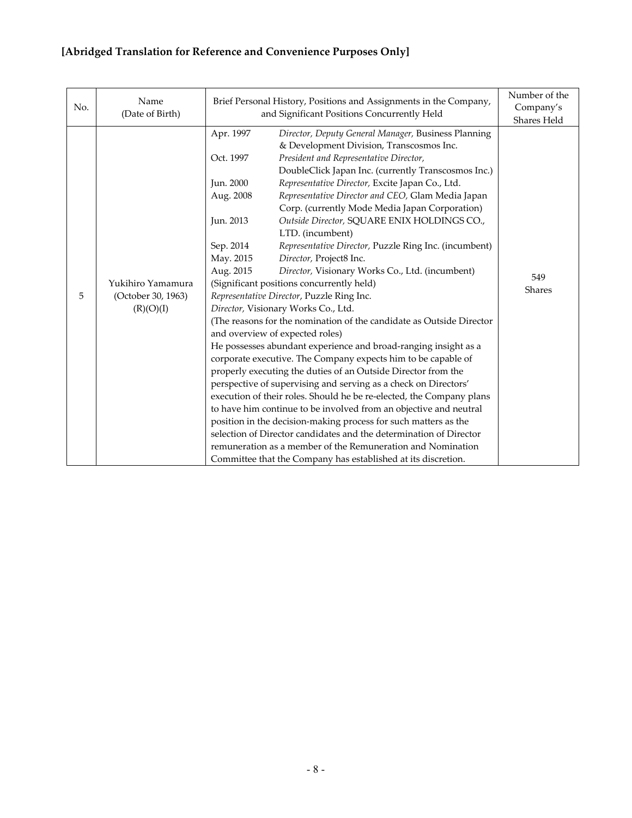| No. | Name<br>(Date of Birth)                              | Brief Personal History, Positions and Assignments in the Company,<br>and Significant Positions Concurrently Held | Number of the<br>Company's                                           |             |  |
|-----|------------------------------------------------------|------------------------------------------------------------------------------------------------------------------|----------------------------------------------------------------------|-------------|--|
|     |                                                      | Apr. 1997                                                                                                        | Director, Deputy General Manager, Business Planning                  | Shares Held |  |
|     |                                                      |                                                                                                                  | & Development Division, Transcosmos Inc.                             |             |  |
|     |                                                      | Oct. 1997                                                                                                        | President and Representative Director,                               |             |  |
|     |                                                      |                                                                                                                  | DoubleClick Japan Inc. (currently Transcosmos Inc.)                  |             |  |
|     |                                                      | Jun. 2000                                                                                                        | Representative Director, Excite Japan Co., Ltd.                      |             |  |
|     |                                                      | Aug. 2008                                                                                                        | Representative Director and CEO, Glam Media Japan                    |             |  |
|     |                                                      |                                                                                                                  | Corp. (currently Mode Media Japan Corporation)                       |             |  |
|     |                                                      | Jun. 2013                                                                                                        | Outside Director, SQUARE ENIX HOLDINGS CO.,                          |             |  |
|     | Yukihiro Yamamura<br>(October 30, 1963)<br>(R)(O)(I) |                                                                                                                  | LTD. (incumbent)                                                     |             |  |
|     |                                                      | Sep. 2014                                                                                                        | Representative Director, Puzzle Ring Inc. (incumbent)                | 549         |  |
|     |                                                      | May. 2015                                                                                                        | Director, Project8 Inc.                                              |             |  |
|     |                                                      | Aug. 2015                                                                                                        | Director, Visionary Works Co., Ltd. (incumbent)                      |             |  |
|     |                                                      | (Significant positions concurrently held)                                                                        | <b>Shares</b>                                                        |             |  |
| 5   |                                                      | Representative Director, Puzzle Ring Inc.                                                                        |                                                                      |             |  |
|     |                                                      | Director, Visionary Works Co., Ltd.                                                                              |                                                                      |             |  |
|     |                                                      |                                                                                                                  | (The reasons for the nomination of the candidate as Outside Director |             |  |
|     |                                                      |                                                                                                                  | and overview of expected roles)                                      |             |  |
|     |                                                      |                                                                                                                  | He possesses abundant experience and broad-ranging insight as a      |             |  |
|     |                                                      |                                                                                                                  | corporate executive. The Company expects him to be capable of        |             |  |
|     |                                                      |                                                                                                                  | properly executing the duties of an Outside Director from the        |             |  |
|     |                                                      |                                                                                                                  | perspective of supervising and serving as a check on Directors'      |             |  |
|     |                                                      |                                                                                                                  | execution of their roles. Should he be re-elected, the Company plans |             |  |
|     |                                                      |                                                                                                                  | to have him continue to be involved from an objective and neutral    |             |  |
|     |                                                      |                                                                                                                  | position in the decision-making process for such matters as the      |             |  |
|     |                                                      |                                                                                                                  | selection of Director candidates and the determination of Director   |             |  |
|     |                                                      |                                                                                                                  | remuneration as a member of the Remuneration and Nomination          |             |  |
|     |                                                      |                                                                                                                  | Committee that the Company has established at its discretion.        |             |  |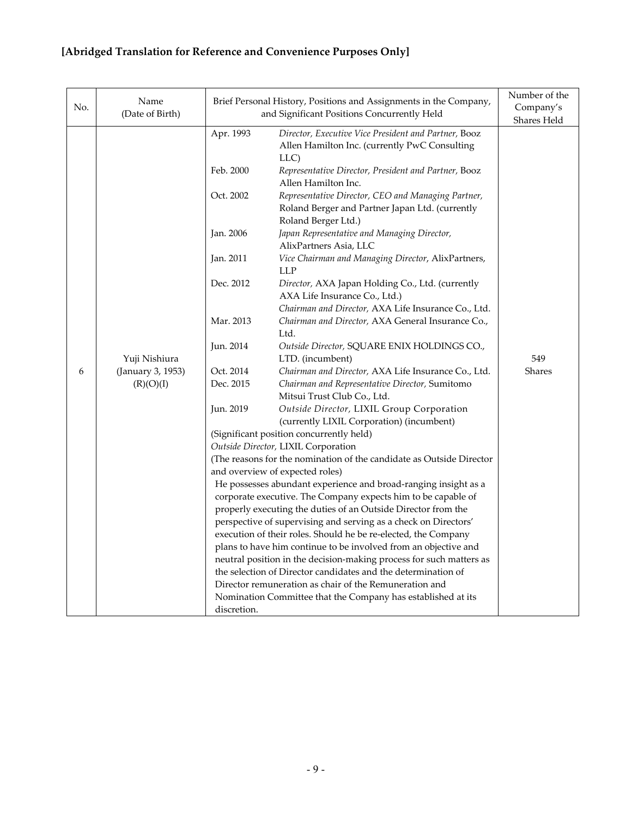| No. | Name<br>(Date of Birth)                         |                                          | Brief Personal History, Positions and Assignments in the Company,<br>and Significant Positions Concurrently Held                         | Number of the<br>Company's<br>Shares Held |
|-----|-------------------------------------------------|------------------------------------------|------------------------------------------------------------------------------------------------------------------------------------------|-------------------------------------------|
|     |                                                 | Apr. 1993                                | Director, Executive Vice President and Partner, Booz<br>Allen Hamilton Inc. (currently PwC Consulting<br>LLC)                            |                                           |
|     |                                                 | Feb. 2000                                | Representative Director, President and Partner, Booz<br>Allen Hamilton Inc.                                                              |                                           |
|     |                                                 | Oct. 2002                                | Representative Director, CEO and Managing Partner,<br>Roland Berger and Partner Japan Ltd. (currently                                    |                                           |
|     |                                                 | Jan. 2006                                | Roland Berger Ltd.)<br>Japan Representative and Managing Director,<br>AlixPartners Asia, LLC                                             |                                           |
|     |                                                 | Jan. 2011                                | Vice Chairman and Managing Director, AlixPartners,<br>LLP                                                                                |                                           |
|     | Yuji Nishiura<br>(January 3, 1953)<br>(R)(O)(I) | Dec. 2012                                | Director, AXA Japan Holding Co., Ltd. (currently<br>AXA Life Insurance Co., Ltd.)<br>Chairman and Director, AXA Life Insurance Co., Ltd. |                                           |
|     |                                                 | Mar. 2013                                | Chairman and Director, AXA General Insurance Co.,<br>Ltd.                                                                                |                                           |
|     |                                                 | Jun. 2014                                | Outside Director, SQUARE ENIX HOLDINGS CO.,<br>LTD. (incumbent)                                                                          | 549                                       |
| 6   |                                                 | Oct. 2014                                | Chairman and Director, AXA Life Insurance Co., Ltd.                                                                                      | <b>Shares</b>                             |
|     |                                                 | Dec. 2015                                | Chairman and Representative Director, Sumitomo<br>Mitsui Trust Club Co., Ltd.                                                            |                                           |
|     |                                                 | Jun. 2019                                | Outside Director, LIXIL Group Corporation<br>(currently LIXIL Corporation) (incumbent)                                                   |                                           |
|     |                                                 | (Significant position concurrently held) |                                                                                                                                          |                                           |
|     |                                                 |                                          | Outside Director, LIXIL Corporation                                                                                                      |                                           |
|     |                                                 |                                          | (The reasons for the nomination of the candidate as Outside Director                                                                     |                                           |
|     |                                                 |                                          | and overview of expected roles)                                                                                                          |                                           |
|     |                                                 |                                          | He possesses abundant experience and broad-ranging insight as a                                                                          |                                           |
|     |                                                 |                                          | corporate executive. The Company expects him to be capable of<br>properly executing the duties of an Outside Director from the           |                                           |
|     |                                                 |                                          | perspective of supervising and serving as a check on Directors'                                                                          |                                           |
|     |                                                 |                                          | execution of their roles. Should he be re-elected, the Company                                                                           |                                           |
|     |                                                 |                                          | plans to have him continue to be involved from an objective and                                                                          |                                           |
|     |                                                 |                                          | neutral position in the decision-making process for such matters as                                                                      |                                           |
|     |                                                 |                                          | the selection of Director candidates and the determination of                                                                            |                                           |
|     |                                                 |                                          | Director remuneration as chair of the Remuneration and                                                                                   |                                           |
|     |                                                 |                                          | Nomination Committee that the Company has established at its                                                                             |                                           |
|     |                                                 | discretion.                              |                                                                                                                                          |                                           |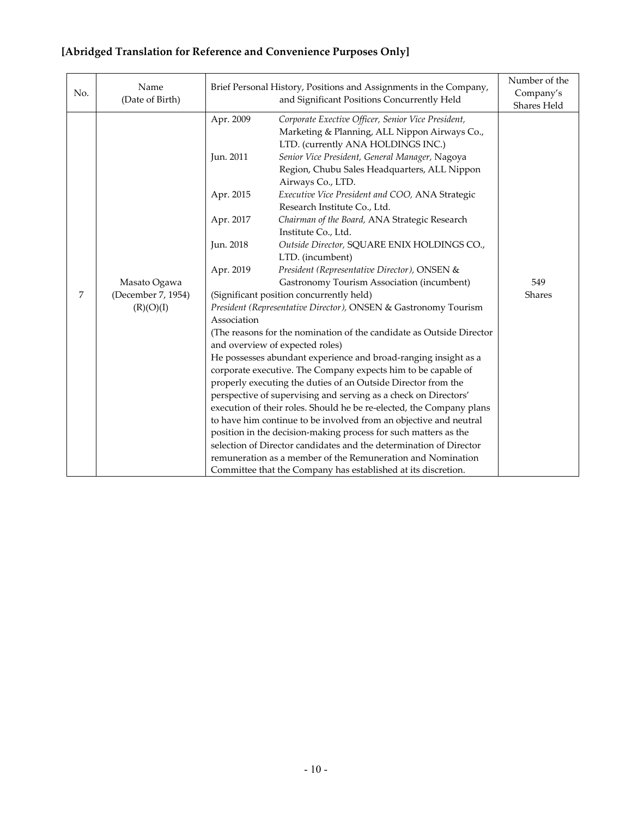#### No. Name (Date of Birth) Brief Personal History, Positions and Assignments in the Company, and Significant Positions Concurrently Held Number of the Company's Shares Held 7 Masato Ogawa (December 7, 1954)  $(R)(O)(I)$ Apr. 2009 *Corporate Exective Officer, Senior Vice President,*  Marketing & Planning, ALL Nippon Airways Co., LTD. (currently ANA HOLDINGS INC.) Jun. 2011 *Senior Vice President, General Manager,* Nagoya Region, Chubu Sales Headquarters, ALL Nippon Airways Co., LTD. Apr. 2015 *Executive Vice President and COO,* ANA Strategic Research Institute Co., Ltd. Apr. 2017 *Chairman of the Board,* ANA Strategic Research Institute Co., Ltd. Jun. 2018 *Outside Director,* SQUARE ENIX HOLDINGS CO., LTD. (incumbent) Apr. 2019 *President (Representative Director),* ONSEN & Gastronomy Tourism Association (incumbent) (Significant position concurrently held) *President (Representative Director),* ONSEN & Gastronomy Tourism Association (The reasons for the nomination of the candidate as Outside Director and overview of expected roles) He possesses abundant experience and broad-ranging insight as a corporate executive. The Company expects him to be capable of properly executing the duties of an Outside Director from the perspective of supervising and serving as a check on Directors' execution of their roles. Should he be re-elected, the Company plans to have him continue to be involved from an objective and neutral position in the decision-making process for such matters as the selection of Director candidates and the determination of Director remuneration as a member of the Remuneration and Nomination Committee that the Company has established at its discretion. 549 Shares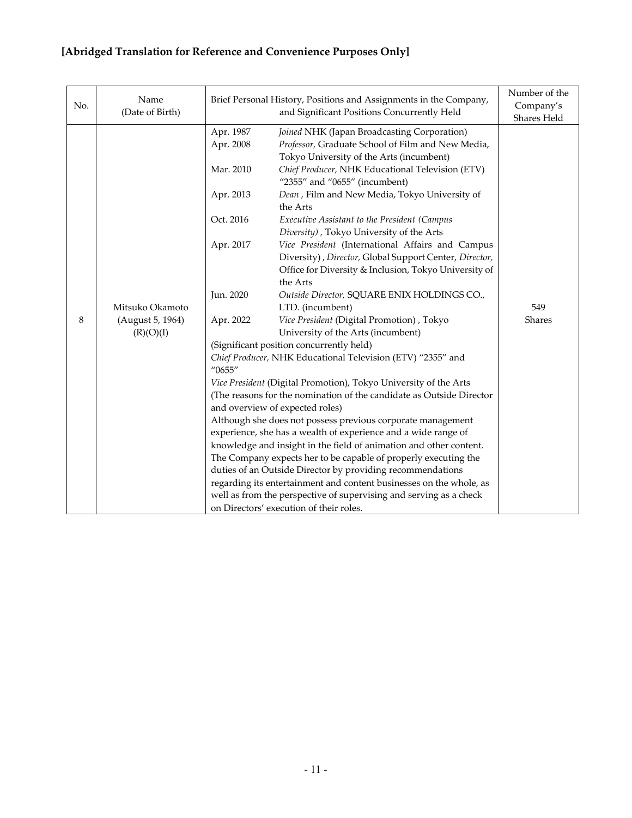| No. | Name<br>(Date of Birth)                          | Brief Personal History, Positions and Assignments in the Company,                                                | Number of the<br>Company's<br>Shares Held                                                                                                                                                                                                                                                                                                                                                                                                                                                                                                                                                                                                                                                                                                                                                                                                                                                                                                                                                                                                                                                                                                                                                                                                                                                                                                                                                                                                                                                                                                                     |                      |
|-----|--------------------------------------------------|------------------------------------------------------------------------------------------------------------------|---------------------------------------------------------------------------------------------------------------------------------------------------------------------------------------------------------------------------------------------------------------------------------------------------------------------------------------------------------------------------------------------------------------------------------------------------------------------------------------------------------------------------------------------------------------------------------------------------------------------------------------------------------------------------------------------------------------------------------------------------------------------------------------------------------------------------------------------------------------------------------------------------------------------------------------------------------------------------------------------------------------------------------------------------------------------------------------------------------------------------------------------------------------------------------------------------------------------------------------------------------------------------------------------------------------------------------------------------------------------------------------------------------------------------------------------------------------------------------------------------------------------------------------------------------------|----------------------|
| 8   | Mitsuko Okamoto<br>(August 5, 1964)<br>(R)(O)(I) | Apr. 1987<br>Apr. 2008<br>Mar. 2010<br>Apr. 2013<br>Oct. 2016<br>Apr. 2017<br>Jun. 2020<br>Apr. 2022<br>''0655'' | Joined NHK (Japan Broadcasting Corporation)<br>Professor, Graduate School of Film and New Media,<br>Tokyo University of the Arts (incumbent)<br>Chief Producer, NHK Educational Television (ETV)<br>"2355" and "0655" (incumbent)<br>Dean, Film and New Media, Tokyo University of<br>the Arts<br>Executive Assistant to the President (Campus<br>Diversity), Tokyo University of the Arts<br>Vice President (International Affairs and Campus<br>Diversity), Director, Global Support Center, Director,<br>Office for Diversity & Inclusion, Tokyo University of<br>the Arts<br>Outside Director, SQUARE ENIX HOLDINGS CO.,<br>LTD. (incumbent)<br>Vice President (Digital Promotion), Tokyo<br>University of the Arts (incumbent)<br>(Significant position concurrently held)<br>Chief Producer, NHK Educational Television (ETV) "2355" and<br>Vice President (Digital Promotion), Tokyo University of the Arts<br>(The reasons for the nomination of the candidate as Outside Director<br>and overview of expected roles)<br>Although she does not possess previous corporate management<br>experience, she has a wealth of experience and a wide range of<br>knowledge and insight in the field of animation and other content.<br>The Company expects her to be capable of properly executing the<br>duties of an Outside Director by providing recommendations<br>regarding its entertainment and content businesses on the whole, as<br>well as from the perspective of supervising and serving as a check<br>on Directors' execution of their roles. | 549<br><b>Shares</b> |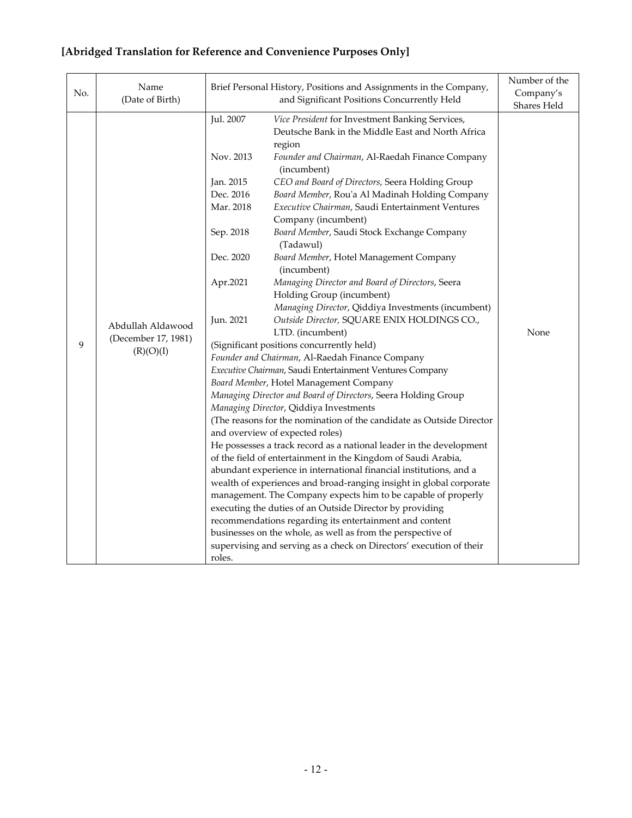#### No. Name (Date of Birth) Brief Personal History, Positions and Assignments in the Company, and Significant Positions Concurrently Held Number of the Company's Shares Held 9 Abdullah Aldawood (December 17, 1981)  $(R)(O)(I)$ Jul. 2007 *Vice President* for Investment Banking Services, Deutsche Bank in the Middle East and North Africa region Nov. 2013 *Founder and Chairman*, Al-Raedah Finance Company (incumbent) Jan. 2015 *CEO and Board of Directors*, Seera Holding Group Dec. 2016 *Board Member*, Rou'a Al Madinah Holding Company Mar. 2018 *Executive Chairman*, Saudi Entertainment Ventures Company (incumbent) Sep. 2018 *Board Member*, Saudi Stock Exchange Company (Tadawul) Dec. 2020 *Board Member*, Hotel Management Company (incumbent) Apr.2021 *Managing Director and Board of Directors*, Seera Holding Group (incumbent) *Managing Director*, Qiddiya Investments (incumbent) Jun. 2021 *Outside Director,* SQUARE ENIX HOLDINGS CO., LTD. (incumbent) (Significant positions concurrently held) *Founder and Chairman*, Al-Raedah Finance Company *Executive Chairman*, Saudi Entertainment Ventures Company *Board Member*, Hotel Management Company *Managing Director and Board of Directors*, Seera Holding Group *Managing Director*, Qiddiya Investments (The reasons for the nomination of the candidate as Outside Director and overview of expected roles) He possesses a track record as a national leader in the development of the field of entertainment in the Kingdom of Saudi Arabia, abundant experience in international financial institutions, and a wealth of experiences and broad-ranging insight in global corporate management. The Company expects him to be capable of properly executing the duties of an Outside Director by providing recommendations regarding its entertainment and content businesses on the whole, as well as from the perspective of supervising and serving as a check on Directors' execution of their roles. None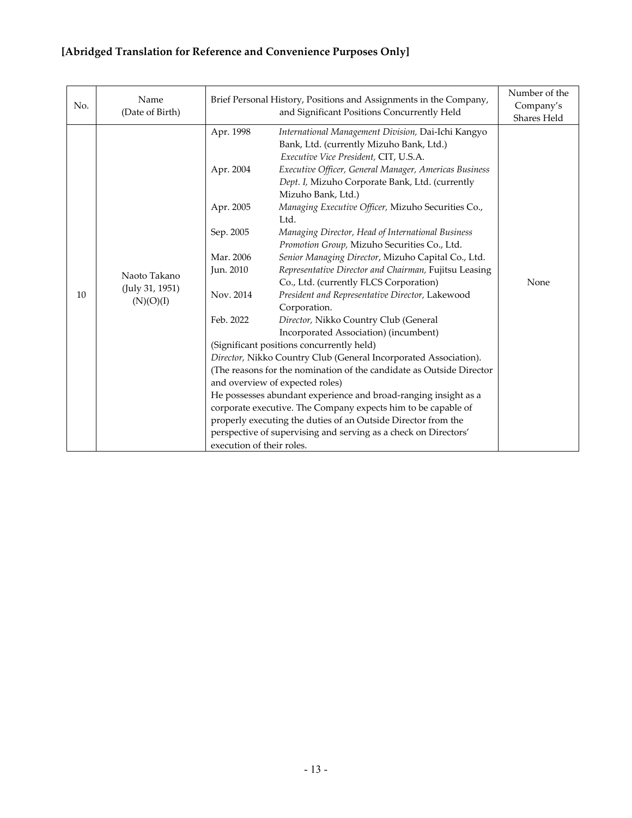| No. | Name<br>(Date of Birth)                      | Brief Personal History, Positions and Assignments in the Company,                                                                 | Number of the<br>Company's<br>Shares Held                                                                                                                                                                                                                                                                                                                                                                                                                                                                                                                                                                                                                                                                                                                                                                                                                                                                                                                                                                                                                                                                                                                                                                                                                                                                     |      |
|-----|----------------------------------------------|-----------------------------------------------------------------------------------------------------------------------------------|---------------------------------------------------------------------------------------------------------------------------------------------------------------------------------------------------------------------------------------------------------------------------------------------------------------------------------------------------------------------------------------------------------------------------------------------------------------------------------------------------------------------------------------------------------------------------------------------------------------------------------------------------------------------------------------------------------------------------------------------------------------------------------------------------------------------------------------------------------------------------------------------------------------------------------------------------------------------------------------------------------------------------------------------------------------------------------------------------------------------------------------------------------------------------------------------------------------------------------------------------------------------------------------------------------------|------|
| 10  | Naoto Takano<br>(July 31, 1951)<br>(N)(O)(I) | Apr. 1998<br>Apr. 2004<br>Apr. 2005<br>Sep. 2005<br>Mar. 2006<br>Jun. 2010<br>Nov. 2014<br>Feb. 2022<br>execution of their roles. | and Significant Positions Concurrently Held<br>International Management Division, Dai-Ichi Kangyo<br>Bank, Ltd. (currently Mizuho Bank, Ltd.)<br>Executive Vice President, CIT, U.S.A.<br>Executive Officer, General Manager, Americas Business<br>Dept. I, Mizuho Corporate Bank, Ltd. (currently<br>Mizuho Bank, Ltd.)<br>Managing Executive Officer, Mizuho Securities Co.,<br>Ltd.<br>Managing Director, Head of International Business<br>Promotion Group, Mizuho Securities Co., Ltd.<br>Senior Managing Director, Mizuho Capital Co., Ltd.<br>Representative Director and Chairman, Fujitsu Leasing<br>Co., Ltd. (currently FLCS Corporation)<br>President and Representative Director, Lakewood<br>Corporation.<br>Director, Nikko Country Club (General<br>Incorporated Association) (incumbent)<br>(Significant positions concurrently held)<br>Director, Nikko Country Club (General Incorporated Association).<br>(The reasons for the nomination of the candidate as Outside Director<br>and overview of expected roles)<br>He possesses abundant experience and broad-ranging insight as a<br>corporate executive. The Company expects him to be capable of<br>properly executing the duties of an Outside Director from the<br>perspective of supervising and serving as a check on Directors' | None |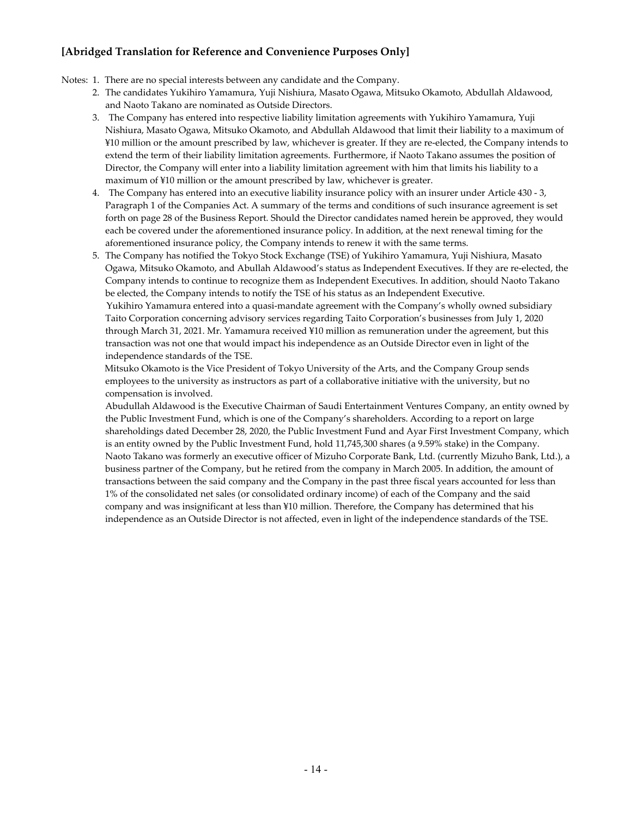Notes: 1. There are no special interests between any candidate and the Company.

- 2. The candidates Yukihiro Yamamura, Yuji Nishiura, Masato Ogawa, Mitsuko Okamoto, Abdullah Aldawood, and Naoto Takano are nominated as Outside Directors.
- 3. The Company has entered into respective liability limitation agreements with Yukihiro Yamamura, Yuji Nishiura, Masato Ogawa, Mitsuko Okamoto, and Abdullah Aldawood that limit their liability to a maximum of ¥10 million or the amount prescribed by law, whichever is greater. If they are re-elected, the Company intends to extend the term of their liability limitation agreements. Furthermore, if Naoto Takano assumes the position of Director, the Company will enter into a liability limitation agreement with him that limits his liability to a maximum of ¥10 million or the amount prescribed by law, whichever is greater.
- 4. The Company has entered into an executive liability insurance policy with an insurer under Article 430 3, Paragraph 1 of the Companies Act. A summary of the terms and conditions of such insurance agreement is set forth on page 28 of the Business Report. Should the Director candidates named herein be approved, they would each be covered under the aforementioned insurance policy. In addition, at the next renewal timing for the aforementioned insurance policy, the Company intends to renew it with the same terms.
- 5. The Company has notified the Tokyo Stock Exchange (TSE) of Yukihiro Yamamura, Yuji Nishiura, Masato Ogawa, Mitsuko Okamoto, and Abullah Aldawood's status as Independent Executives. If they are re-elected, the Company intends to continue to recognize them as Independent Executives. In addition, should Naoto Takano be elected, the Company intends to notify the TSE of his status as an Independent Executive. Yukihiro Yamamura entered into a quasi-mandate agreement with the Company's wholly owned subsidiary Taito Corporation concerning advisory services regarding Taito Corporation's businesses from July 1, 2020 through March 31, 2021. Mr. Yamamura received ¥10 million as remuneration under the agreement, but this

transaction was not one that would impact his independence as an Outside Director even in light of the independence standards of the TSE.

Mitsuko Okamoto is the Vice President of Tokyo University of the Arts, and the Company Group sends employees to the university as instructors as part of a collaborative initiative with the university, but no compensation is involved.

Abudullah Aldawood is the Executive Chairman of Saudi Entertainment Ventures Company, an entity owned by the Public Investment Fund, which is one of the Company's shareholders. According to a report on large shareholdings dated December 28, 2020, the Public Investment Fund and Ayar First Investment Company, which is an entity owned by the Public Investment Fund, hold 11,745,300 shares (a 9.59% stake) in the Company. Naoto Takano was formerly an executive officer of Mizuho Corporate Bank, Ltd. (currently Mizuho Bank, Ltd.), a business partner of the Company, but he retired from the company in March 2005. In addition, the amount of transactions between the said company and the Company in the past three fiscal years accounted for less than 1% of the consolidated net sales (or consolidated ordinary income) of each of the Company and the said company and was insignificant at less than ¥10 million. Therefore, the Company has determined that his independence as an Outside Director is not affected, even in light of the independence standards of the TSE.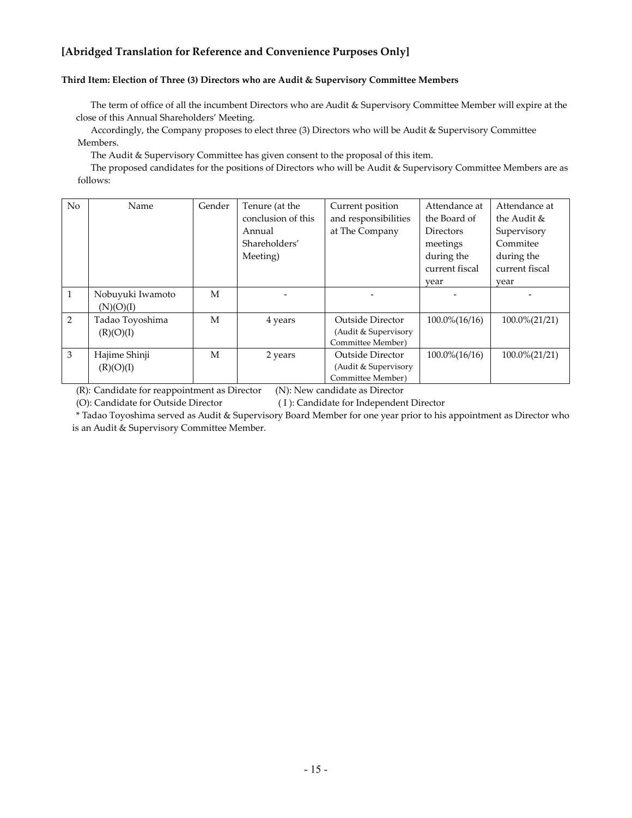#### **Third Item: Election of Three (3) Directors who are Audit & Supervisory Committee Members**

The term of office of all the incumbent Directors who are Audit & Supervisory Committee Member will expire at the close of this Annual Shareholders' Meeting.

Accordingly, the Company proposes to elect three (3) Directors who will be Audit & Supervisory Committee Members.

The Audit & Supervisory Committee has given consent to the proposal of this item.

The proposed candidates for the positions of Directors who will be Audit & Supervisory Committee Members are as follows:

| No           | Name                          | Gender | Tenure (at the     | Current position        | Attendance at          | Attendance at     |
|--------------|-------------------------------|--------|--------------------|-------------------------|------------------------|-------------------|
|              |                               |        | conclusion of this | and responsibilities    | the Board of           | the Audit &       |
|              |                               |        | Annual             | at The Company          | Directors              | Supervisory       |
|              |                               |        | Shareholders'      |                         | meetings               | Commitee          |
|              |                               |        | Meeting)           |                         | during the             | during the        |
|              |                               |        |                    |                         | current fiscal         | current fiscal    |
|              |                               |        |                    |                         | year                   | year              |
| $\mathbf{1}$ | Nobuyuki Iwamoto<br>(N)(O)(I) | M      |                    |                         |                        |                   |
| 2            | Tadao Toyoshima               | M      | 4 years            | Outside Director        | $100.0\frac{6}{16/16}$ | $100.0\% (21/21)$ |
|              | (R)(O)(I)                     |        |                    | (Audit & Supervisory    |                        |                   |
|              |                               |        |                    | Committee Member)       |                        |                   |
| 3            | Hajime Shinji                 | М      | 2 years            | <b>Outside Director</b> | $100.0\frac{6}{16/16}$ | $100.0\% (21/21)$ |
|              | (R)(O)(I)                     |        |                    | (Audit & Supervisory    |                        |                   |
|              |                               |        |                    | Committee Member)       |                        |                   |

(R): Candidate for reappointment as Director (N): New candidate as Director

(O): Candidate for Outside Director ( I ): Candidate for Independent Director

\* Tadao Toyoshima served as Audit & Supervisory Board Member for one year prior to his appointment as Director who is an Audit & Supervisory Committee Member.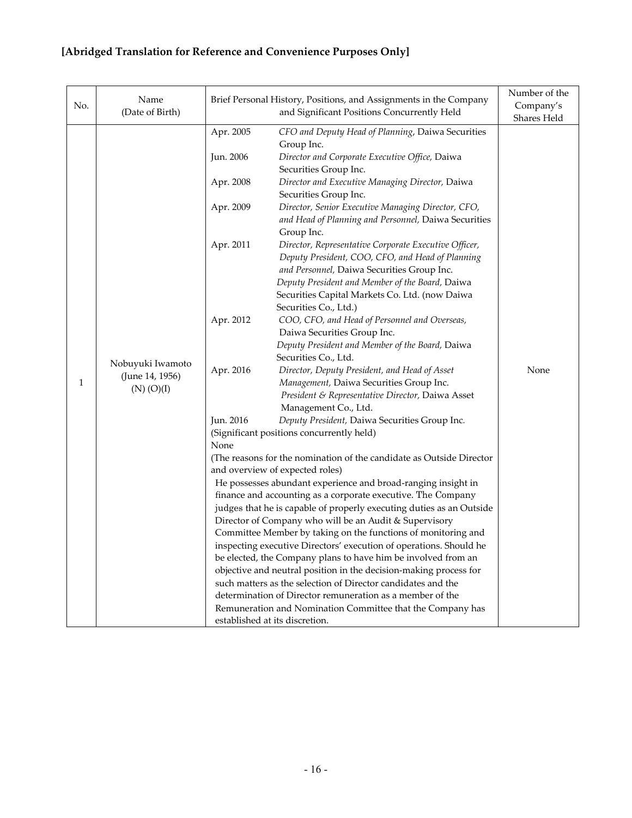| No. | Name<br>(Date of Birth)                               |                                                                                                              | Number of the<br>Company's<br>Shares Held                                                                                                                                                                                                                                                                                                                                                                                                                                                                                                                                                                                                                                                                                                                                                                                                                                                                                                                                                                                                                                                                                                                                                                                                                                                                                                                                                                                                                                                                                                                                                                                                                                                                             |      |
|-----|-------------------------------------------------------|--------------------------------------------------------------------------------------------------------------|-----------------------------------------------------------------------------------------------------------------------------------------------------------------------------------------------------------------------------------------------------------------------------------------------------------------------------------------------------------------------------------------------------------------------------------------------------------------------------------------------------------------------------------------------------------------------------------------------------------------------------------------------------------------------------------------------------------------------------------------------------------------------------------------------------------------------------------------------------------------------------------------------------------------------------------------------------------------------------------------------------------------------------------------------------------------------------------------------------------------------------------------------------------------------------------------------------------------------------------------------------------------------------------------------------------------------------------------------------------------------------------------------------------------------------------------------------------------------------------------------------------------------------------------------------------------------------------------------------------------------------------------------------------------------------------------------------------------------|------|
| 1   | Nobuyuki Iwamoto<br>(June 14, 1956)<br>$(N)$ $(O)(I)$ | Apr. 2005<br>Jun. 2006<br>Apr. 2008<br>Apr. 2009<br>Apr. 2011<br>Apr. 2012<br>Apr. 2016<br>Jun. 2016<br>None | Brief Personal History, Positions, and Assignments in the Company<br>and Significant Positions Concurrently Held<br>CFO and Deputy Head of Planning, Daiwa Securities<br>Group Inc.<br>Director and Corporate Executive Office, Daiwa<br>Securities Group Inc.<br>Director and Executive Managing Director, Daiwa<br>Securities Group Inc.<br>Director, Senior Executive Managing Director, CFO,<br>and Head of Planning and Personnel, Daiwa Securities<br>Group Inc.<br>Director, Representative Corporate Executive Officer,<br>Deputy President, COO, CFO, and Head of Planning<br>and Personnel, Daiwa Securities Group Inc.<br>Deputy President and Member of the Board, Daiwa<br>Securities Capital Markets Co. Ltd. (now Daiwa<br>Securities Co., Ltd.)<br>COO, CFO, and Head of Personnel and Overseas,<br>Daiwa Securities Group Inc.<br>Deputy President and Member of the Board, Daiwa<br>Securities Co., Ltd.<br>Director, Deputy President, and Head of Asset<br>Management, Daiwa Securities Group Inc.<br>President & Representative Director, Daiwa Asset<br>Management Co., Ltd.<br>Deputy President, Daiwa Securities Group Inc.<br>(Significant positions concurrently held)<br>(The reasons for the nomination of the candidate as Outside Director<br>and overview of expected roles)<br>He possesses abundant experience and broad-ranging insight in<br>finance and accounting as a corporate executive. The Company<br>judges that he is capable of properly executing duties as an Outside<br>Director of Company who will be an Audit & Supervisory<br>Committee Member by taking on the functions of monitoring and<br>inspecting executive Directors' execution of operations. Should he | None |
|     |                                                       |                                                                                                              | be elected, the Company plans to have him be involved from an<br>objective and neutral position in the decision-making process for<br>such matters as the selection of Director candidates and the<br>determination of Director remuneration as a member of the<br>Remuneration and Nomination Committee that the Company has<br>established at its discretion.                                                                                                                                                                                                                                                                                                                                                                                                                                                                                                                                                                                                                                                                                                                                                                                                                                                                                                                                                                                                                                                                                                                                                                                                                                                                                                                                                       |      |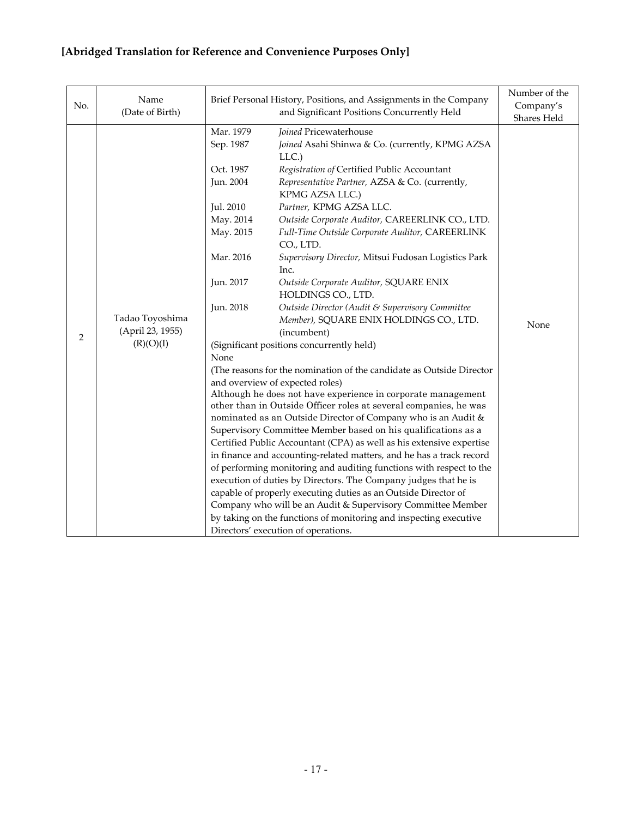|          | Name                                                                | Brief Personal History, Positions, and Assignments in the Company                                                                                                                                  |                                                                                                                                                                                                                                                                                                                                                                                                                                                                                                                                                                                                                                                                                                                                                                                                                                                                                                                                                                                                                                                                                                                                                                                                                                                                                                                                                                        | Number of the     |
|----------|---------------------------------------------------------------------|----------------------------------------------------------------------------------------------------------------------------------------------------------------------------------------------------|------------------------------------------------------------------------------------------------------------------------------------------------------------------------------------------------------------------------------------------------------------------------------------------------------------------------------------------------------------------------------------------------------------------------------------------------------------------------------------------------------------------------------------------------------------------------------------------------------------------------------------------------------------------------------------------------------------------------------------------------------------------------------------------------------------------------------------------------------------------------------------------------------------------------------------------------------------------------------------------------------------------------------------------------------------------------------------------------------------------------------------------------------------------------------------------------------------------------------------------------------------------------------------------------------------------------------------------------------------------------|-------------------|
|          |                                                                     |                                                                                                                                                                                                    | Shares Held                                                                                                                                                                                                                                                                                                                                                                                                                                                                                                                                                                                                                                                                                                                                                                                                                                                                                                                                                                                                                                                                                                                                                                                                                                                                                                                                                            |                   |
| No.<br>2 | (Date of Birth)<br>Tadao Toyoshima<br>(April 23, 1955)<br>(R)(O)(I) | Mar. 1979<br>Sep. 1987<br>Oct. 1987<br>Jun. 2004<br>Jul. 2010<br>May. 2014<br>May. 2015<br>Mar. 2016<br>Jun. 2017<br>Jun. 2018<br>None                                                             | and Significant Positions Concurrently Held<br>Joined Pricewaterhouse<br>Joined Asahi Shinwa & Co. (currently, KPMG AZSA<br>LLC.<br>Registration of Certified Public Accountant<br>Representative Partner, AZSA & Co. (currently,<br>KPMG AZSA LLC.)<br>Partner, KPMG AZSA LLC.<br>Outside Corporate Auditor, CAREERLINK CO., LTD.<br>Full-Time Outside Corporate Auditor, CAREERLINK<br>CO., LTD.<br>Supervisory Director, Mitsui Fudosan Logistics Park<br>Inc.<br>Outside Corporate Auditor, SQUARE ENIX<br>HOLDINGS CO., LTD.<br>Outside Director (Audit & Supervisory Committee<br>Member), SQUARE ENIX HOLDINGS CO., LTD.<br>(incumbent)<br>(Significant positions concurrently held)<br>(The reasons for the nomination of the candidate as Outside Director<br>and overview of expected roles)<br>Although he does not have experience in corporate management<br>other than in Outside Officer roles at several companies, he was<br>nominated as an Outside Director of Company who is an Audit &<br>Supervisory Committee Member based on his qualifications as a<br>Certified Public Accountant (CPA) as well as his extensive expertise<br>in finance and accounting-related matters, and he has a track record<br>of performing monitoring and auditing functions with respect to the<br>execution of duties by Directors. The Company judges that he is | Company's<br>None |
|          |                                                                     | capable of properly executing duties as an Outside Director of<br>Company who will be an Audit & Supervisory Committee Member<br>by taking on the functions of monitoring and inspecting executive |                                                                                                                                                                                                                                                                                                                                                                                                                                                                                                                                                                                                                                                                                                                                                                                                                                                                                                                                                                                                                                                                                                                                                                                                                                                                                                                                                                        |                   |
|          |                                                                     |                                                                                                                                                                                                    | Directors' execution of operations.                                                                                                                                                                                                                                                                                                                                                                                                                                                                                                                                                                                                                                                                                                                                                                                                                                                                                                                                                                                                                                                                                                                                                                                                                                                                                                                                    |                   |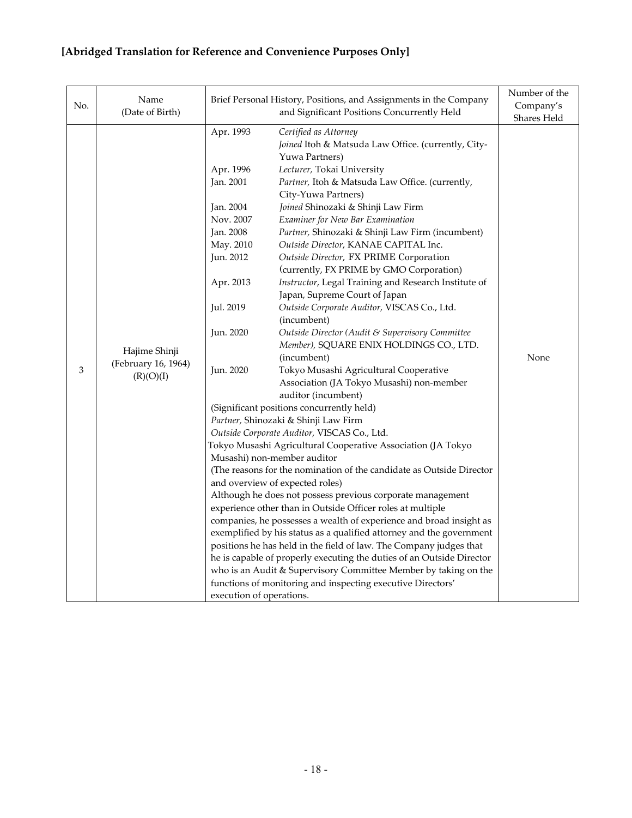| No. | Name<br>(Date of Birth)                           |                                                                                                                                                                                                                                     | Number of the<br>Company's<br>Shares Held                                                                                                                                                                                                                                                                                                                                                                                                                                                                                                                                                                                                                                                                                                                                                                                                                                                                                                                                                                                                                                                                                                                                                                                                                                                                                                                                                                                                                                                                                                                                                                                                                               |      |
|-----|---------------------------------------------------|-------------------------------------------------------------------------------------------------------------------------------------------------------------------------------------------------------------------------------------|-------------------------------------------------------------------------------------------------------------------------------------------------------------------------------------------------------------------------------------------------------------------------------------------------------------------------------------------------------------------------------------------------------------------------------------------------------------------------------------------------------------------------------------------------------------------------------------------------------------------------------------------------------------------------------------------------------------------------------------------------------------------------------------------------------------------------------------------------------------------------------------------------------------------------------------------------------------------------------------------------------------------------------------------------------------------------------------------------------------------------------------------------------------------------------------------------------------------------------------------------------------------------------------------------------------------------------------------------------------------------------------------------------------------------------------------------------------------------------------------------------------------------------------------------------------------------------------------------------------------------------------------------------------------------|------|
| 3   | Hajime Shinji<br>(February 16, 1964)<br>(R)(O)(I) | Apr. 1993<br>Apr. 1996<br>Jan. 2001<br>Jan. 2004<br>Nov. 2007<br>Jan. 2008<br>May. 2010<br>Jun. 2012<br>Apr. 2013<br>Jul. 2019<br>Jun. 2020<br>Jun. 2020                                                                            | Brief Personal History, Positions, and Assignments in the Company<br>and Significant Positions Concurrently Held<br>Certified as Attorney<br>Joined Itoh & Matsuda Law Office. (currently, City-<br>Yuwa Partners)<br>Lecturer, Tokai University<br>Partner, Itoh & Matsuda Law Office. (currently,<br>City-Yuwa Partners)<br>Joined Shinozaki & Shinji Law Firm<br>Examiner for New Bar Examination<br>Partner, Shinozaki & Shinji Law Firm (incumbent)<br>Outside Director, KANAE CAPITAL Inc.<br>Outside Director, FX PRIME Corporation<br>(currently, FX PRIME by GMO Corporation)<br>Instructor, Legal Training and Research Institute of<br>Japan, Supreme Court of Japan<br>Outside Corporate Auditor, VISCAS Co., Ltd.<br>(incumbent)<br>Outside Director (Audit & Supervisory Committee<br>Member), SQUARE ENIX HOLDINGS CO., LTD.<br>(incumbent)<br>Tokyo Musashi Agricultural Cooperative<br>Association (JA Tokyo Musashi) non-member<br>auditor (incumbent)<br>(Significant positions concurrently held)<br>Partner, Shinozaki & Shinji Law Firm<br>Outside Corporate Auditor, VISCAS Co., Ltd.<br>Tokyo Musashi Agricultural Cooperative Association (JA Tokyo<br>Musashi) non-member auditor<br>(The reasons for the nomination of the candidate as Outside Director<br>and overview of expected roles)<br>Although he does not possess previous corporate management<br>experience other than in Outside Officer roles at multiple<br>companies, he possesses a wealth of experience and broad insight as<br>exemplified by his status as a qualified attorney and the government<br>positions he has held in the field of law. The Company judges that | None |
|     |                                                   | he is capable of properly executing the duties of an Outside Director<br>who is an Audit & Supervisory Committee Member by taking on the<br>functions of monitoring and inspecting executive Directors'<br>execution of operations. |                                                                                                                                                                                                                                                                                                                                                                                                                                                                                                                                                                                                                                                                                                                                                                                                                                                                                                                                                                                                                                                                                                                                                                                                                                                                                                                                                                                                                                                                                                                                                                                                                                                                         |      |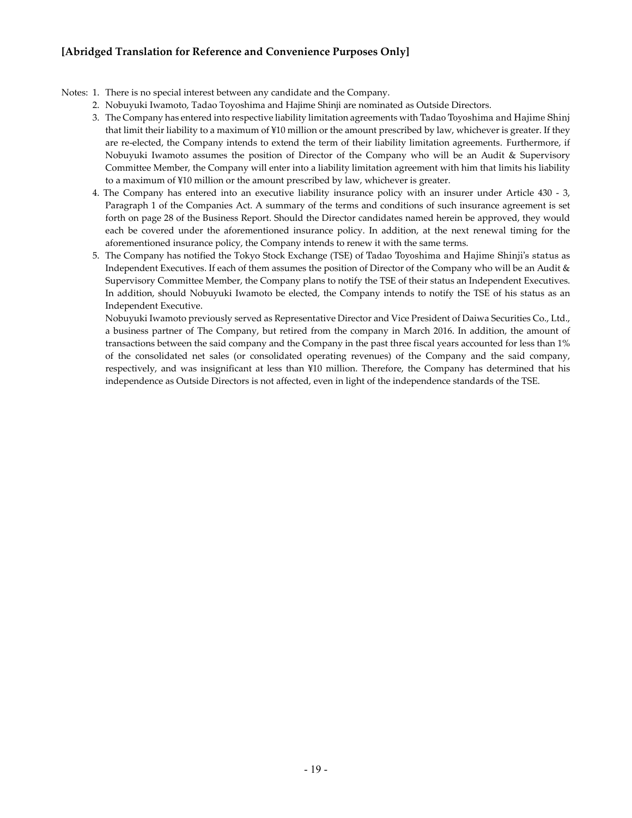#### Notes: 1. There is no special interest between any candidate and the Company.

- 2. Nobuyuki Iwamoto, Tadao Toyoshima and Hajime Shinji are nominated as Outside Directors.
- 3. The Company has entered into respective liability limitation agreements with Tadao Toyoshima and Hajime Shinj that limit their liability to a maximum of ¥10 million or the amount prescribed by law, whichever is greater. If they are re-elected, the Company intends to extend the term of their liability limitation agreements. Furthermore, if Nobuyuki Iwamoto assumes the position of Director of the Company who will be an Audit & Supervisory Committee Member, the Company will enter into a liability limitation agreement with him that limits his liability to a maximum of ¥10 million or the amount prescribed by law, whichever is greater.
- 4. The Company has entered into an executive liability insurance policy with an insurer under Article 430 3, Paragraph 1 of the Companies Act. A summary of the terms and conditions of such insurance agreement is set forth on page 28 of the Business Report. Should the Director candidates named herein be approved, they would each be covered under the aforementioned insurance policy. In addition, at the next renewal timing for the aforementioned insurance policy, the Company intends to renew it with the same terms.
- 5. The Company has notified the Tokyo Stock Exchange (TSE) of Tadao Toyoshima and Hajime Shinji's status as Independent Executives. If each of them assumes the position of Director of the Company who will be an Audit & Supervisory Committee Member, the Company plans to notify the TSE of their status an Independent Executives. In addition, should Nobuyuki Iwamoto be elected, the Company intends to notify the TSE of his status as an Independent Executive.

Nobuyuki Iwamoto previously served as Representative Director and Vice President of Daiwa Securities Co., Ltd., a business partner of The Company, but retired from the company in March 2016. In addition, the amount of transactions between the said company and the Company in the past three fiscal years accounted for less than 1% of the consolidated net sales (or consolidated operating revenues) of the Company and the said company, respectively, and was insignificant at less than ¥10 million. Therefore, the Company has determined that his independence as Outside Directors is not affected, even in light of the independence standards of the TSE.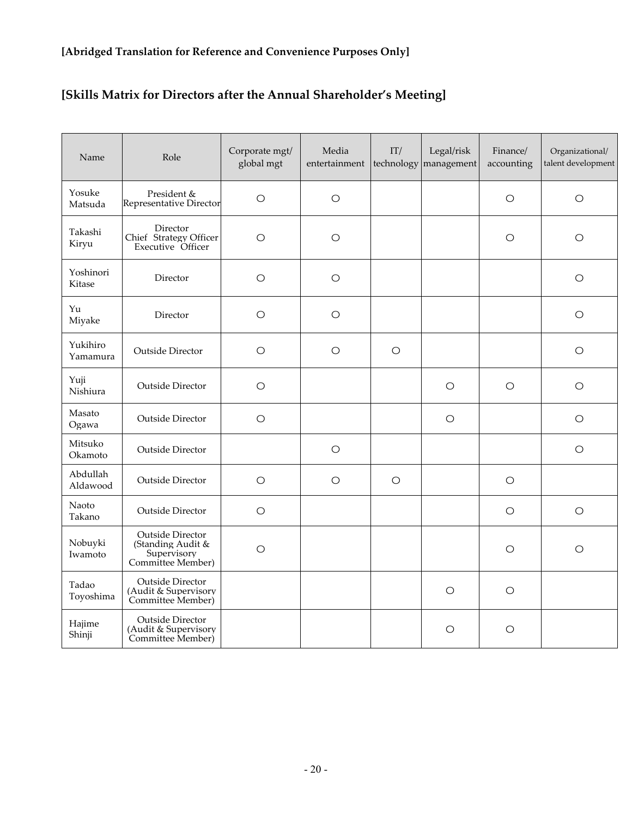# **[Skills Matrix for Directors after the Annual Shareholder's Meeting]**

| Name                 | Role                                                                      | Corporate mgt/<br>global mgt | Media<br>entertainment | IT/<br>technology | Legal/risk<br>management | Finance/<br>accounting | Organizational/<br>talent development |
|----------------------|---------------------------------------------------------------------------|------------------------------|------------------------|-------------------|--------------------------|------------------------|---------------------------------------|
| Yosuke<br>Matsuda    | President &<br>Representative Director                                    | $\bigcirc$                   | $\bigcirc$             |                   |                          | $\circ$                | $\bigcirc$                            |
| Takashi<br>Kiryu     | Director<br>Chief Strategy Officer<br>Executive Officer                   | $\circ$                      | $\circ$                |                   |                          | $\circ$                | $\circ$                               |
| Yoshinori<br>Kitase  | Director                                                                  | $\circ$                      | $\bigcirc$             |                   |                          |                        | $\bigcirc$                            |
| Yu<br>Miyake         | Director                                                                  | $\circ$                      | $\circ$                |                   |                          |                        | $\circ$                               |
| Yukihiro<br>Yamamura | Outside Director                                                          | $\circ$                      | $\bigcirc$             | $\circ$           |                          |                        | $\bigcirc$                            |
| Yuji<br>Nishiura     | Outside Director                                                          | $\circ$                      |                        |                   | O                        | O                      | O                                     |
| Masato<br>Ogawa      | <b>Outside Director</b>                                                   | $\bigcirc$                   |                        |                   | $\circ$                  |                        | $\circ$                               |
| Mitsuko<br>Okamoto   | Outside Director                                                          |                              | $\circ$                |                   |                          |                        | $\circ$                               |
| Abdullah<br>Aldawood | Outside Director                                                          | $\circ$                      | $\circ$                | $\circ$           |                          | $\circ$                |                                       |
| Naoto<br>Takano      | Outside Director                                                          | $\circ$                      |                        |                   |                          | $\circ$                | $\bigcirc$                            |
| Nobuyki<br>Iwamoto   | Outside Director<br>(Standing Audit &<br>Supervisory<br>Committee Member) | $\circ$                      |                        |                   |                          | $\circ$                | $\circ$                               |
| Tadao<br>Toyoshima   | Outside Director<br>(Audit & Supervisory<br>Committee Member)             |                              |                        |                   | O                        | $\circ$                |                                       |
| Hajime<br>Shinji     | Outside Director<br>(Audit & Supervisory<br>Committee Member)             |                              |                        |                   | $\circ$                  | $\circ$                |                                       |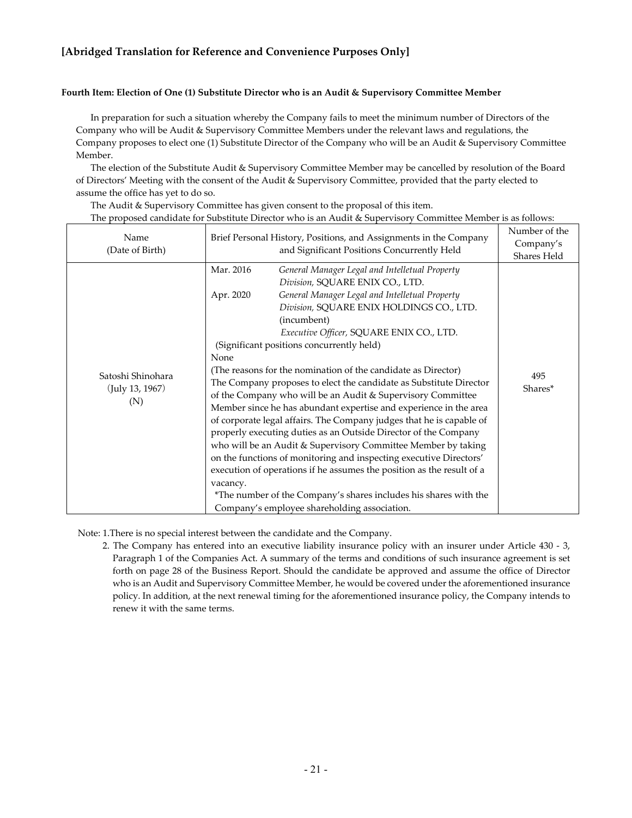#### **Fourth Item: Election of One (1) Substitute Director who is an Audit & Supervisory Committee Member**

In preparation for such a situation whereby the Company fails to meet the minimum number of Directors of the Company who will be Audit & Supervisory Committee Members under the relevant laws and regulations, the Company proposes to elect one (1) Substitute Director of the Company who will be an Audit & Supervisory Committee Member.

The election of the Substitute Audit & Supervisory Committee Member may be cancelled by resolution of the Board of Directors' Meeting with the consent of the Audit & Supervisory Committee, provided that the party elected to assume the office has yet to do so.

The Audit & Supervisory Committee has given consent to the proposal of this item.

The proposed candidate for Substitute Director who is an Audit & Supervisory Committee Member is as follows:

| Name<br>(Date of Birth)                     | Brief Personal History, Positions, and Assignments in the Company<br>and Significant Positions Concurrently Held |                                                                                                                                                                                                                                                                                                                                                                                                                                                                                                                                                                                                                                                                                                                                                                                                                                                                                                                                                                                                                                                   | Number of the<br>Company's<br>Shares Held |
|---------------------------------------------|------------------------------------------------------------------------------------------------------------------|---------------------------------------------------------------------------------------------------------------------------------------------------------------------------------------------------------------------------------------------------------------------------------------------------------------------------------------------------------------------------------------------------------------------------------------------------------------------------------------------------------------------------------------------------------------------------------------------------------------------------------------------------------------------------------------------------------------------------------------------------------------------------------------------------------------------------------------------------------------------------------------------------------------------------------------------------------------------------------------------------------------------------------------------------|-------------------------------------------|
| Satoshi Shinohara<br>(July 13, 1967)<br>(N) | Mar. 2016<br>Apr. 2020<br>None<br>vacancy.                                                                       | General Manager Legal and Intelletual Property<br>Division, SQUARE ENIX CO., LTD.<br>General Manager Legal and Intelletual Property<br>Division, SQUARE ENIX HOLDINGS CO., LTD.<br>(incumbent)<br>Executive Officer, SQUARE ENIX CO., LTD.<br>(Significant positions concurrently held)<br>(The reasons for the nomination of the candidate as Director)<br>The Company proposes to elect the candidate as Substitute Director<br>of the Company who will be an Audit & Supervisory Committee<br>Member since he has abundant expertise and experience in the area<br>of corporate legal affairs. The Company judges that he is capable of<br>properly executing duties as an Outside Director of the Company<br>who will be an Audit & Supervisory Committee Member by taking<br>on the functions of monitoring and inspecting executive Directors'<br>execution of operations if he assumes the position as the result of a<br>*The number of the Company's shares includes his shares with the<br>Company's employee shareholding association. | 495<br>Shares*                            |

Note: 1.There is no special interest between the candidate and the Company.

2. The Company has entered into an executive liability insurance policy with an insurer under Article 430 - 3, Paragraph 1 of the Companies Act. A summary of the terms and conditions of such insurance agreement is set forth on page 28 of the Business Report. Should the candidate be approved and assume the office of Director who is an Audit and Supervisory Committee Member, he would be covered under the aforementioned insurance policy. In addition, at the next renewal timing for the aforementioned insurance policy, the Company intends to renew it with the same terms.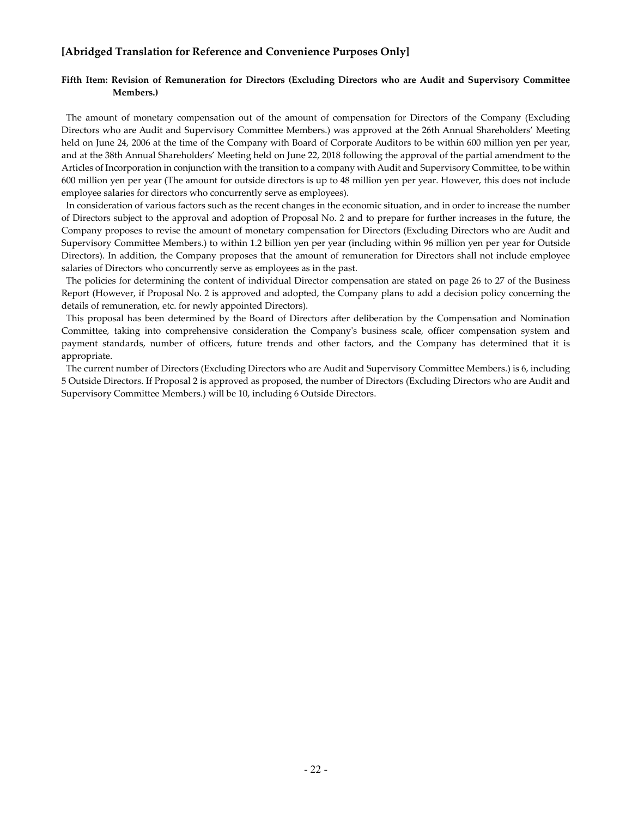#### **Fifth Item: Revision of Remuneration for Directors (Excluding Directors who are Audit and Supervisory Committee Members.)**

The amount of monetary compensation out of the amount of compensation for Directors of the Company (Excluding Directors who are Audit and Supervisory Committee Members.) was approved at the 26th Annual Shareholders' Meeting held on June 24, 2006 at the time of the Company with Board of Corporate Auditors to be within 600 million yen per year, and at the 38th Annual Shareholders' Meeting held on June 22, 2018 following the approval of the partial amendment to the Articles of Incorporation in conjunction with the transition to a company with Audit and Supervisory Committee, to be within 600 million yen per year (The amount for outside directors is up to 48 million yen per year. However, this does not include employee salaries for directors who concurrently serve as employees).

In consideration of various factors such as the recent changes in the economic situation, and in order to increase the number of Directors subject to the approval and adoption of Proposal No. 2 and to prepare for further increases in the future, the Company proposes to revise the amount of monetary compensation for Directors (Excluding Directors who are Audit and Supervisory Committee Members.) to within 1.2 billion yen per year (including within 96 million yen per year for Outside Directors). In addition, the Company proposes that the amount of remuneration for Directors shall not include employee salaries of Directors who concurrently serve as employees as in the past.

The policies for determining the content of individual Director compensation are stated on page 26 to 27 of the Business Report (However, if Proposal No. 2 is approved and adopted, the Company plans to add a decision policy concerning the details of remuneration, etc. for newly appointed Directors).

This proposal has been determined by the Board of Directors after deliberation by the Compensation and Nomination Committee, taking into comprehensive consideration the Company's business scale, officer compensation system and payment standards, number of officers, future trends and other factors, and the Company has determined that it is appropriate.

The current number of Directors (Excluding Directors who are Audit and Supervisory Committee Members.) is 6, including 5 Outside Directors. If Proposal 2 is approved as proposed, the number of Directors (Excluding Directors who are Audit and Supervisory Committee Members.) will be 10, including 6 Outside Directors.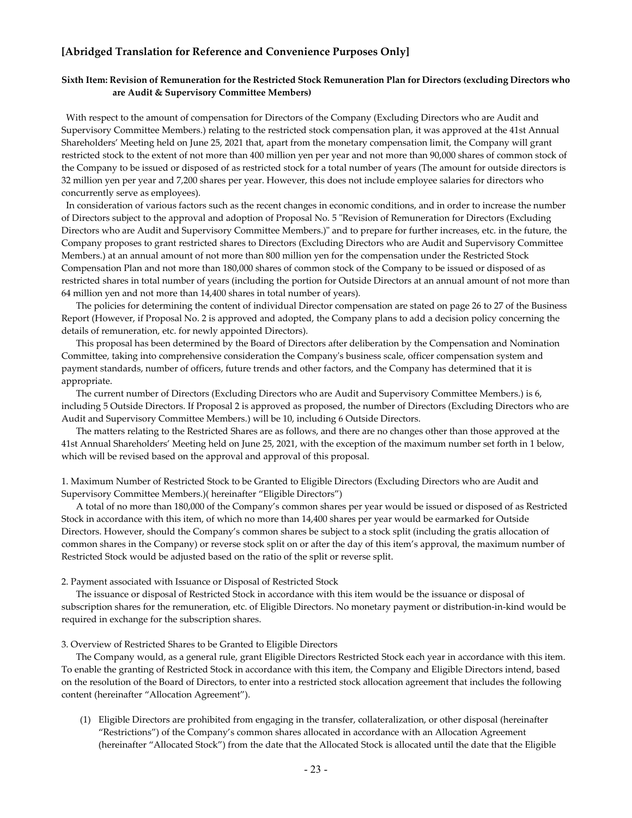#### **Sixth Item: Revision of Remuneration for the Restricted Stock Remuneration Plan for Directors (excluding Directors who are Audit & Supervisory Committee Members)**

With respect to the amount of compensation for Directors of the Company (Excluding Directors who are Audit and Supervisory Committee Members.) relating to the restricted stock compensation plan, it was approved at the 41st Annual Shareholders' Meeting held on June 25, 2021 that, apart from the monetary compensation limit, the Company will grant restricted stock to the extent of not more than 400 million yen per year and not more than 90,000 shares of common stock of the Company to be issued or disposed of as restricted stock for a total number of years (The amount for outside directors is 32 million yen per year and 7,200 shares per year. However, this does not include employee salaries for directors who concurrently serve as employees).

In consideration of various factors such as the recent changes in economic conditions, and in order to increase the number of Directors subject to the approval and adoption of Proposal No. 5 "Revision of Remuneration for Directors (Excluding Directors who are Audit and Supervisory Committee Members.)" and to prepare for further increases, etc. in the future, the Company proposes to grant restricted shares to Directors (Excluding Directors who are Audit and Supervisory Committee Members.) at an annual amount of not more than 800 million yen for the compensation under the Restricted Stock Compensation Plan and not more than 180,000 shares of common stock of the Company to be issued or disposed of as restricted shares in total number of years (including the portion for Outside Directors at an annual amount of not more than 64 million yen and not more than 14,400 shares in total number of years).

The policies for determining the content of individual Director compensation are stated on page 26 to 27 of the Business Report (However, if Proposal No. 2 is approved and adopted, the Company plans to add a decision policy concerning the details of remuneration, etc. for newly appointed Directors).

This proposal has been determined by the Board of Directors after deliberation by the Compensation and Nomination Committee, taking into comprehensive consideration the Company's business scale, officer compensation system and payment standards, number of officers, future trends and other factors, and the Company has determined that it is appropriate.

The current number of Directors (Excluding Directors who are Audit and Supervisory Committee Members.) is 6, including 5 Outside Directors. If Proposal 2 is approved as proposed, the number of Directors (Excluding Directors who are Audit and Supervisory Committee Members.) will be 10, including 6 Outside Directors.

The matters relating to the Restricted Shares are as follows, and there are no changes other than those approved at the 41st Annual Shareholders' Meeting held on June 25, 2021, with the exception of the maximum number set forth in 1 below, which will be revised based on the approval and approval of this proposal.

1. Maximum Number of Restricted Stock to be Granted to Eligible Directors (Excluding Directors who are Audit and Supervisory Committee Members.)( hereinafter "Eligible Directors")

A total of no more than 180,000 of the Company's common shares per year would be issued or disposed of as Restricted Stock in accordance with this item, of which no more than 14,400 shares per year would be earmarked for Outside Directors. However, should the Company's common shares be subject to a stock split (including the gratis allocation of common shares in the Company) or reverse stock split on or after the day of this item's approval, the maximum number of Restricted Stock would be adjusted based on the ratio of the split or reverse split.

#### 2. Payment associated with Issuance or Disposal of Restricted Stock

The issuance or disposal of Restricted Stock in accordance with this item would be the issuance or disposal of subscription shares for the remuneration, etc. of Eligible Directors. No monetary payment or distribution-in-kind would be required in exchange for the subscription shares.

3. Overview of Restricted Shares to be Granted to Eligible Directors

The Company would, as a general rule, grant Eligible Directors Restricted Stock each year in accordance with this item. To enable the granting of Restricted Stock in accordance with this item, the Company and Eligible Directors intend, based on the resolution of the Board of Directors, to enter into a restricted stock allocation agreement that includes the following content (hereinafter "Allocation Agreement").

(1) Eligible Directors are prohibited from engaging in the transfer, collateralization, or other disposal (hereinafter "Restrictions") of the Company's common shares allocated in accordance with an Allocation Agreement (hereinafter "Allocated Stock") from the date that the Allocated Stock is allocated until the date that the Eligible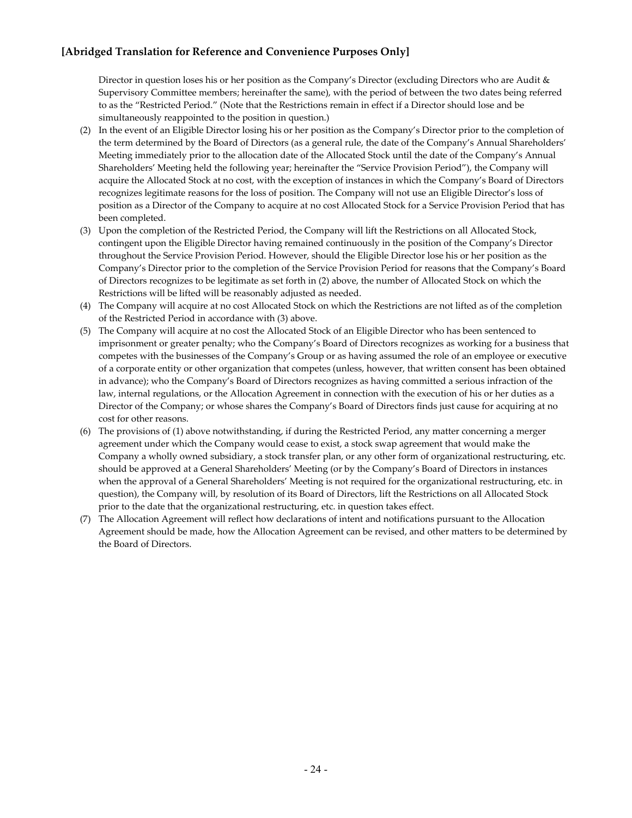Director in question loses his or her position as the Company's Director (excluding Directors who are Audit & Supervisory Committee members; hereinafter the same), with the period of between the two dates being referred to as the "Restricted Period." (Note that the Restrictions remain in effect if a Director should lose and be simultaneously reappointed to the position in question.)

- (2) In the event of an Eligible Director losing his or her position as the Company's Director prior to the completion of the term determined by the Board of Directors (as a general rule, the date of the Company's Annual Shareholders' Meeting immediately prior to the allocation date of the Allocated Stock until the date of the Company's Annual Shareholders' Meeting held the following year; hereinafter the "Service Provision Period"), the Company will acquire the Allocated Stock at no cost, with the exception of instances in which the Company's Board of Directors recognizes legitimate reasons for the loss of position. The Company will not use an Eligible Director's loss of position as a Director of the Company to acquire at no cost Allocated Stock for a Service Provision Period that has been completed.
- (3) Upon the completion of the Restricted Period, the Company will lift the Restrictions on all Allocated Stock, contingent upon the Eligible Director having remained continuously in the position of the Company's Director throughout the Service Provision Period. However, should the Eligible Director lose his or her position as the Company's Director prior to the completion of the Service Provision Period for reasons that the Company's Board of Directors recognizes to be legitimate as set forth in (2) above, the number of Allocated Stock on which the Restrictions will be lifted will be reasonably adjusted as needed.
- (4) The Company will acquire at no cost Allocated Stock on which the Restrictions are not lifted as of the completion of the Restricted Period in accordance with (3) above.
- (5) The Company will acquire at no cost the Allocated Stock of an Eligible Director who has been sentenced to imprisonment or greater penalty; who the Company's Board of Directors recognizes as working for a business that competes with the businesses of the Company's Group or as having assumed the role of an employee or executive of a corporate entity or other organization that competes (unless, however, that written consent has been obtained in advance); who the Company's Board of Directors recognizes as having committed a serious infraction of the law, internal regulations, or the Allocation Agreement in connection with the execution of his or her duties as a Director of the Company; or whose shares the Company's Board of Directors finds just cause for acquiring at no cost for other reasons.
- (6) The provisions of (1) above notwithstanding, if during the Restricted Period, any matter concerning a merger agreement under which the Company would cease to exist, a stock swap agreement that would make the Company a wholly owned subsidiary, a stock transfer plan, or any other form of organizational restructuring, etc. should be approved at a General Shareholders' Meeting (or by the Company's Board of Directors in instances when the approval of a General Shareholders' Meeting is not required for the organizational restructuring, etc. in question), the Company will, by resolution of its Board of Directors, lift the Restrictions on all Allocated Stock prior to the date that the organizational restructuring, etc. in question takes effect.
- (7) The Allocation Agreement will reflect how declarations of intent and notifications pursuant to the Allocation Agreement should be made, how the Allocation Agreement can be revised, and other matters to be determined by the Board of Directors.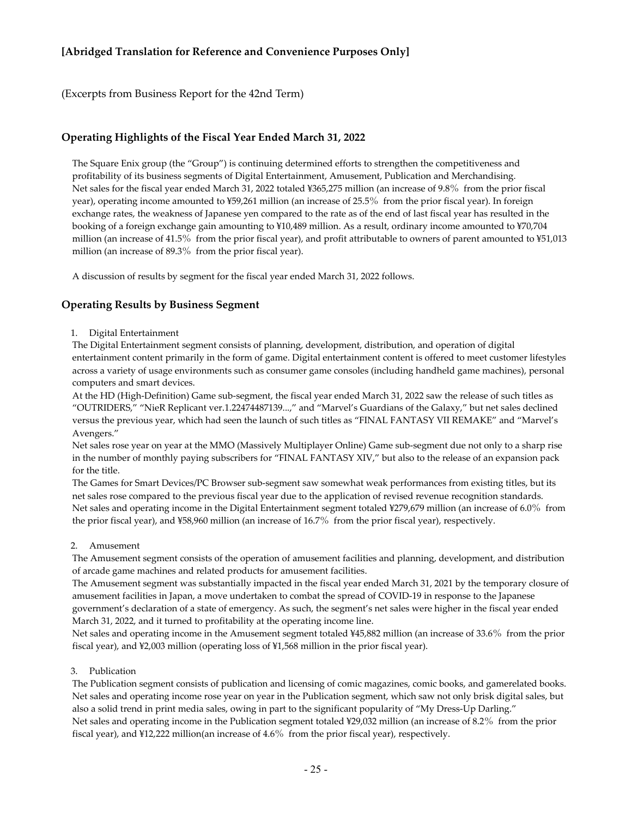(Excerpts from Business Report for the 42nd Term)

#### **Operating Highlights of the Fiscal Year Ended March 31, 2022**

The Square Enix group (the "Group") is continuing determined efforts to strengthen the competitiveness and profitability of its business segments of Digital Entertainment, Amusement, Publication and Merchandising. Net sales for the fiscal year ended March 31, 2022 totaled ¥365,275 million (an increase of 9.8% from the prior fiscal year), operating income amounted to ¥59,261 million (an increase of 25.5% from the prior fiscal year). In foreign exchange rates, the weakness of Japanese yen compared to the rate as of the end of last fiscal year has resulted in the booking of a foreign exchange gain amounting to ¥10,489 million. As a result, ordinary income amounted to ¥70,704 million (an increase of 41.5% from the prior fiscal year), and profit attributable to owners of parent amounted to ¥51,013 million (an increase of 89.3% from the prior fiscal year).

A discussion of results by segment for the fiscal year ended March 31, 2022 follows.

#### **Operating Results by Business Segment**

#### 1. Digital Entertainment

The Digital Entertainment segment consists of planning, development, distribution, and operation of digital entertainment content primarily in the form of game. Digital entertainment content is offered to meet customer lifestyles across a variety of usage environments such as consumer game consoles (including handheld game machines), personal computers and smart devices.

At the HD (High-Definition) Game sub-segment, the fiscal year ended March 31, 2022 saw the release of such titles as "OUTRIDERS," "NieR Replicant ver.1.22474487139...," and "Marvel's Guardians of the Galaxy," but net sales declined versus the previous year, which had seen the launch of such titles as "FINAL FANTASY VII REMAKE" and "Marvel's Avengers."

Net sales rose year on year at the MMO (Massively Multiplayer Online) Game sub-segment due not only to a sharp rise in the number of monthly paying subscribers for "FINAL FANTASY XIV," but also to the release of an expansion pack for the title.

The Games for Smart Devices/PC Browser sub-segment saw somewhat weak performances from existing titles, but its net sales rose compared to the previous fiscal year due to the application of revised revenue recognition standards. Net sales and operating income in the Digital Entertainment segment totaled ¥279,679 million (an increase of 6.0% from the prior fiscal year), and ¥58,960 million (an increase of 16.7% from the prior fiscal year), respectively.

#### 2. Amusement

The Amusement segment consists of the operation of amusement facilities and planning, development, and distribution of arcade game machines and related products for amusement facilities.

The Amusement segment was substantially impacted in the fiscal year ended March 31, 2021 by the temporary closure of amusement facilities in Japan, a move undertaken to combat the spread of COVID-19 in response to the Japanese government's declaration of a state of emergency. As such, the segment's net sales were higher in the fiscal year ended March 31, 2022, and it turned to profitability at the operating income line.

Net sales and operating income in the Amusement segment totaled ¥45,882 million (an increase of 33.6% from the prior fiscal year), and ¥2,003 million (operating loss of ¥1,568 million in the prior fiscal year).

#### 3. Publication

The Publication segment consists of publication and licensing of comic magazines, comic books, and gamerelated books. Net sales and operating income rose year on year in the Publication segment, which saw not only brisk digital sales, but also a solid trend in print media sales, owing in part to the significant popularity of "My Dress-Up Darling." Net sales and operating income in the Publication segment totaled ¥29,032 million (an increase of 8.2% from the prior fiscal year), and ¥12,222 million(an increase of 4.6% from the prior fiscal year), respectively.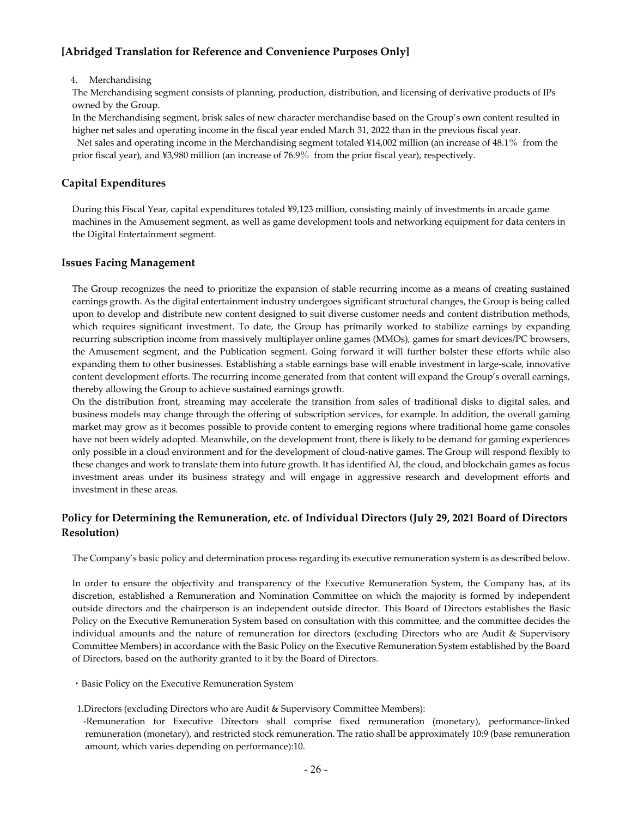#### 4. Merchandising

The Merchandising segment consists of planning, production, distribution, and licensing of derivative products of IPs owned by the Group.

In the Merchandising segment, brisk sales of new character merchandise based on the Group's own content resulted in higher net sales and operating income in the fiscal year ended March 31, 2022 than in the previous fiscal year.

Net sales and operating income in the Merchandising segment totaled ¥14,002 million (an increase of 48.1% from the prior fiscal year), and ¥3,980 million (an increase of 76.9% from the prior fiscal year), respectively.

#### **Capital Expenditures**

During this Fiscal Year, capital expenditures totaled ¥9,123 million, consisting mainly of investments in arcade game machines in the Amusement segment, as well as game development tools and networking equipment for data centers in the Digital Entertainment segment.

#### **Issues Facing Management**

The Group recognizes the need to prioritize the expansion of stable recurring income as a means of creating sustained earnings growth. As the digital entertainment industry undergoes significant structural changes, the Group is being called upon to develop and distribute new content designed to suit diverse customer needs and content distribution methods, which requires significant investment. To date, the Group has primarily worked to stabilize earnings by expanding recurring subscription income from massively multiplayer online games (MMOs), games for smart devices/PC browsers, the Amusement segment, and the Publication segment. Going forward it will further bolster these efforts while also expanding them to other businesses. Establishing a stable earnings base will enable investment in large-scale, innovative content development efforts. The recurring income generated from that content will expand the Group's overall earnings, thereby allowing the Group to achieve sustained earnings growth.

On the distribution front, streaming may accelerate the transition from sales of traditional disks to digital sales, and business models may change through the offering of subscription services, for example. In addition, the overall gaming market may grow as it becomes possible to provide content to emerging regions where traditional home game consoles have not been widely adopted. Meanwhile, on the development front, there is likely to be demand for gaming experiences only possible in a cloud environment and for the development of cloud-native games. The Group will respond flexibly to these changes and work to translate them into future growth. It has identified AI, the cloud, and blockchain games as focus investment areas under its business strategy and will engage in aggressive research and development efforts and investment in these areas.

### **Policy for Determining the Remuneration, etc. of Individual Directors (July 29, 2021 Board of Directors Resolution)**

The Company's basic policy and determination process regarding its executive remuneration system is as described below.

In order to ensure the objectivity and transparency of the Executive Remuneration System, the Company has, at its discretion, established a Remuneration and Nomination Committee on which the majority is formed by independent outside directors and the chairperson is an independent outside director. This Board of Directors establishes the Basic Policy on the Executive Remuneration System based on consultation with this committee, and the committee decides the individual amounts and the nature of remuneration for directors (excluding Directors who are Audit & Supervisory Committee Members) in accordance with the Basic Policy on the Executive Remuneration System established by the Board of Directors, based on the authority granted to it by the Board of Directors.

- ・Basic Policy on the Executive Remuneration System
- 1.Directors (excluding Directors who are Audit & Supervisory Committee Members):
- -Remuneration for Executive Directors shall comprise fixed remuneration (monetary), performance-linked remuneration (monetary), and restricted stock remuneration. The ratio shall be approximately 10:9 (base remuneration amount, which varies depending on performance):10.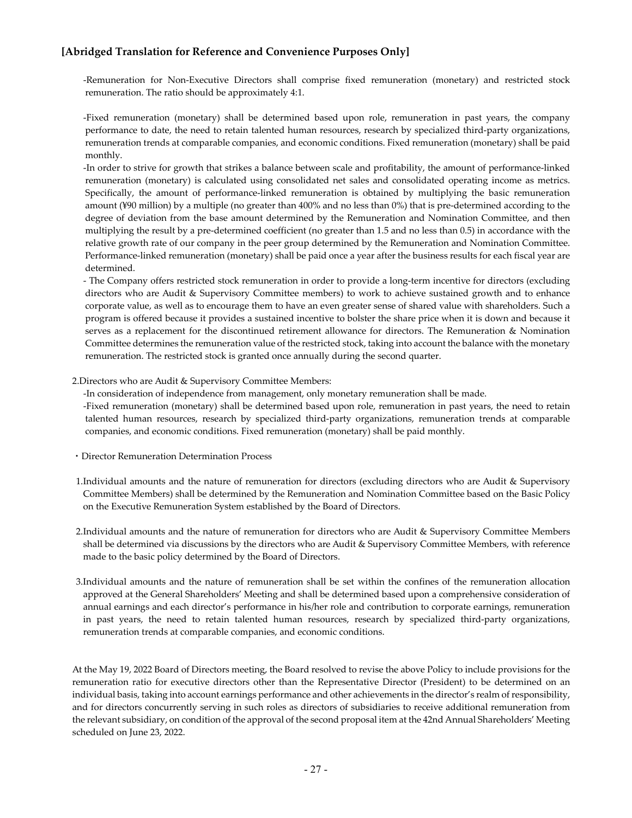-Remuneration for Non-Executive Directors shall comprise fixed remuneration (monetary) and restricted stock remuneration. The ratio should be approximately 4:1.

-Fixed remuneration (monetary) shall be determined based upon role, remuneration in past years, the company performance to date, the need to retain talented human resources, research by specialized third-party organizations, remuneration trends at comparable companies, and economic conditions. Fixed remuneration (monetary) shall be paid monthly.

-In order to strive for growth that strikes a balance between scale and profitability, the amount of performance-linked remuneration (monetary) is calculated using consolidated net sales and consolidated operating income as metrics. Specifically, the amount of performance-linked remuneration is obtained by multiplying the basic remuneration amount (¥90 million) by a multiple (no greater than 400% and no less than 0%) that is pre-determined according to the degree of deviation from the base amount determined by the Remuneration and Nomination Committee, and then multiplying the result by a pre-determined coefficient (no greater than 1.5 and no less than 0.5) in accordance with the relative growth rate of our company in the peer group determined by the Remuneration and Nomination Committee. Performance-linked remuneration (monetary) shall be paid once a year after the business results for each fiscal year are determined.

- The Company offers restricted stock remuneration in order to provide a long-term incentive for directors (excluding directors who are Audit & Supervisory Committee members) to work to achieve sustained growth and to enhance corporate value, as well as to encourage them to have an even greater sense of shared value with shareholders. Such a program is offered because it provides a sustained incentive to bolster the share price when it is down and because it serves as a replacement for the discontinued retirement allowance for directors. The Remuneration & Nomination Committee determines the remuneration value of the restricted stock, taking into account the balance with the monetary remuneration. The restricted stock is granted once annually during the second quarter.

#### 2.Directors who are Audit & Supervisory Committee Members:

-In consideration of independence from management, only monetary remuneration shall be made.

-Fixed remuneration (monetary) shall be determined based upon role, remuneration in past years, the need to retain talented human resources, research by specialized third-party organizations, remuneration trends at comparable companies, and economic conditions. Fixed remuneration (monetary) shall be paid monthly.

- ・Director Remuneration Determination Process
- 1.Individual amounts and the nature of remuneration for directors (excluding directors who are Audit & Supervisory Committee Members) shall be determined by the Remuneration and Nomination Committee based on the Basic Policy on the Executive Remuneration System established by the Board of Directors.
- 2.Individual amounts and the nature of remuneration for directors who are Audit & Supervisory Committee Members shall be determined via discussions by the directors who are Audit & Supervisory Committee Members, with reference made to the basic policy determined by the Board of Directors.
- 3.Individual amounts and the nature of remuneration shall be set within the confines of the remuneration allocation approved at the General Shareholders' Meeting and shall be determined based upon a comprehensive consideration of annual earnings and each director's performance in his/her role and contribution to corporate earnings, remuneration in past years, the need to retain talented human resources, research by specialized third-party organizations, remuneration trends at comparable companies, and economic conditions.

At the May 19, 2022 Board of Directors meeting, the Board resolved to revise the above Policy to include provisions for the remuneration ratio for executive directors other than the Representative Director (President) to be determined on an individual basis, taking into account earnings performance and other achievements in the director's realm of responsibility, and for directors concurrently serving in such roles as directors of subsidiaries to receive additional remuneration from the relevant subsidiary, on condition of the approval of the second proposal item at the 42nd Annual Shareholders' Meeting scheduled on June 23, 2022.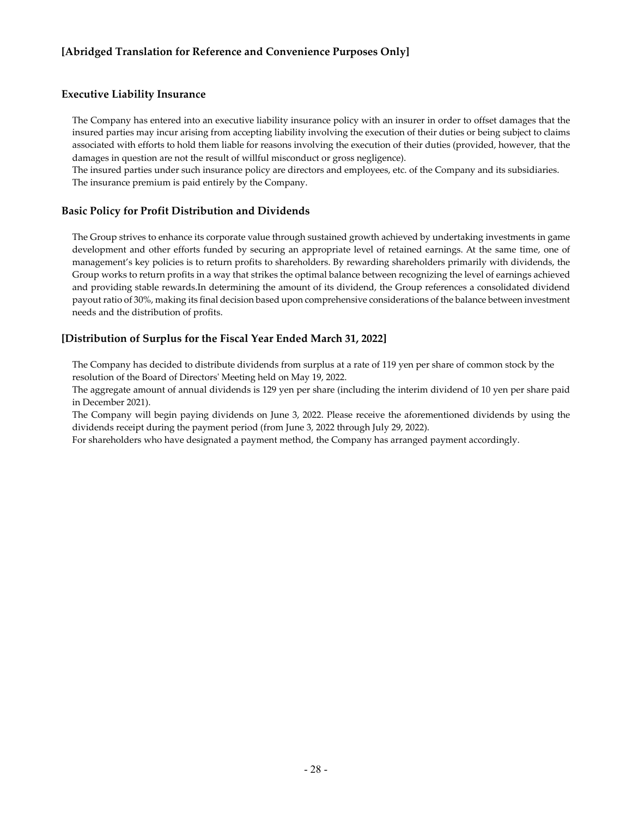#### **Executive Liability Insurance**

The Company has entered into an executive liability insurance policy with an insurer in order to offset damages that the insured parties may incur arising from accepting liability involving the execution of their duties or being subject to claims associated with efforts to hold them liable for reasons involving the execution of their duties (provided, however, that the damages in question are not the result of willful misconduct or gross negligence).

The insured parties under such insurance policy are directors and employees, etc. of the Company and its subsidiaries. The insurance premium is paid entirely by the Company.

#### **Basic Policy for Profit Distribution and Dividends**

The Group strives to enhance its corporate value through sustained growth achieved by undertaking investments in game development and other efforts funded by securing an appropriate level of retained earnings. At the same time, one of management's key policies is to return profits to shareholders. By rewarding shareholders primarily with dividends, the Group works to return profits in a way that strikes the optimal balance between recognizing the level of earnings achieved and providing stable rewards.In determining the amount of its dividend, the Group references a consolidated dividend payout ratio of 30%, making its final decision based upon comprehensive considerations of the balance between investment needs and the distribution of profits.

### **[Distribution of Surplus for the Fiscal Year Ended March 31, 2022]**

The Company has decided to distribute dividends from surplus at a rate of 119 yen per share of common stock by the resolution of the Board of Directors' Meeting held on May 19, 2022.

The aggregate amount of annual dividends is 129 yen per share (including the interim dividend of 10 yen per share paid in December 2021).

The Company will begin paying dividends on June 3, 2022. Please receive the aforementioned dividends by using the dividends receipt during the payment period (from June 3, 2022 through July 29, 2022).

For shareholders who have designated a payment method, the Company has arranged payment accordingly.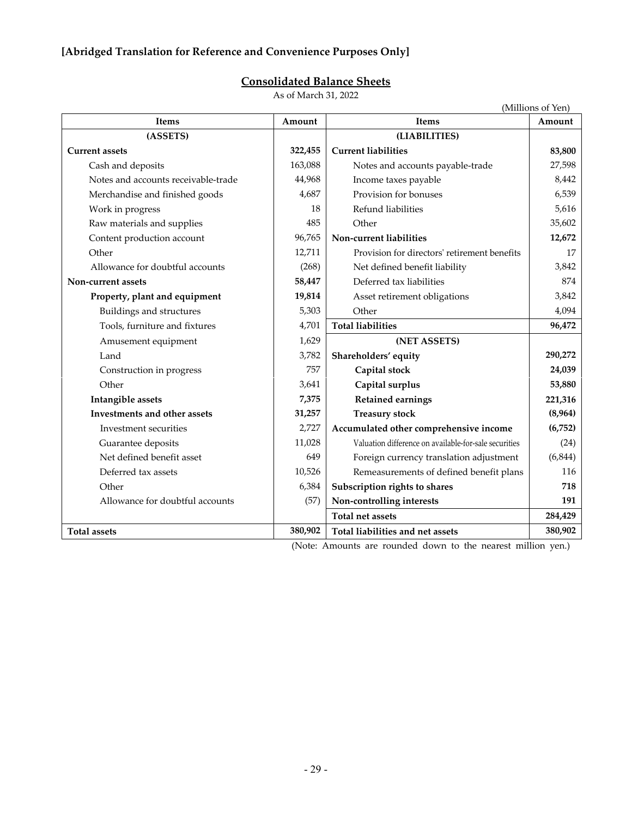# **Consolidated Balance Sheets**

As of March 31, 2022

|                                     |         |                                                       | (Millions of Yen) |
|-------------------------------------|---------|-------------------------------------------------------|-------------------|
| <b>Items</b>                        | Amount  | <b>Items</b>                                          | Amount            |
| (ASSETS)                            |         | (LIABILITIES)                                         |                   |
| <b>Current assets</b>               | 322,455 | <b>Current liabilities</b>                            | 83,800            |
| Cash and deposits                   | 163,088 | Notes and accounts payable-trade                      | 27,598            |
| Notes and accounts receivable-trade | 44,968  | Income taxes payable                                  | 8,442             |
| Merchandise and finished goods      | 4,687   | Provision for bonuses                                 | 6,539             |
| Work in progress                    | 18      | Refund liabilities                                    | 5,616             |
| Raw materials and supplies          | 485     | Other                                                 | 35,602            |
| Content production account          | 96,765  | Non-current liabilities                               | 12,672            |
| Other                               | 12,711  | Provision for directors' retirement benefits          | 17                |
| Allowance for doubtful accounts     | (268)   | Net defined benefit liability                         | 3,842             |
| Non-current assets                  | 58,447  | Deferred tax liabilities                              | 874               |
| Property, plant and equipment       | 19,814  | Asset retirement obligations                          | 3,842             |
| Buildings and structures            | 5,303   | Other                                                 | 4,094             |
| Tools, furniture and fixtures       | 4,701   | <b>Total liabilities</b>                              | 96,472            |
| Amusement equipment                 | 1,629   | (NET ASSETS)                                          |                   |
| Land                                | 3,782   | Shareholders' equity                                  | 290,272           |
| Construction in progress            | 757     | Capital stock                                         | 24,039            |
| Other                               | 3,641   | Capital surplus                                       | 53,880            |
| Intangible assets                   | 7,375   | <b>Retained earnings</b>                              | 221,316           |
| <b>Investments and other assets</b> | 31,257  | <b>Treasury stock</b>                                 | (8,964)           |
| Investment securities               | 2,727   | Accumulated other comprehensive income                | (6, 752)          |
| Guarantee deposits                  | 11,028  | Valuation difference on available-for-sale securities | (24)              |
| Net defined benefit asset           | 649     | Foreign currency translation adjustment               | (6, 844)          |
| Deferred tax assets                 | 10,526  | Remeasurements of defined benefit plans               | 116               |
| Other                               | 6,384   | Subscription rights to shares                         | 718               |
| Allowance for doubtful accounts     | (57)    | Non-controlling interests                             | 191               |
|                                     |         | <b>Total net assets</b>                               | 284,429           |
| <b>Total assets</b>                 | 380,902 | Total liabilities and net assets                      | 380,902           |

(Note: Amounts are rounded down to the nearest million yen.)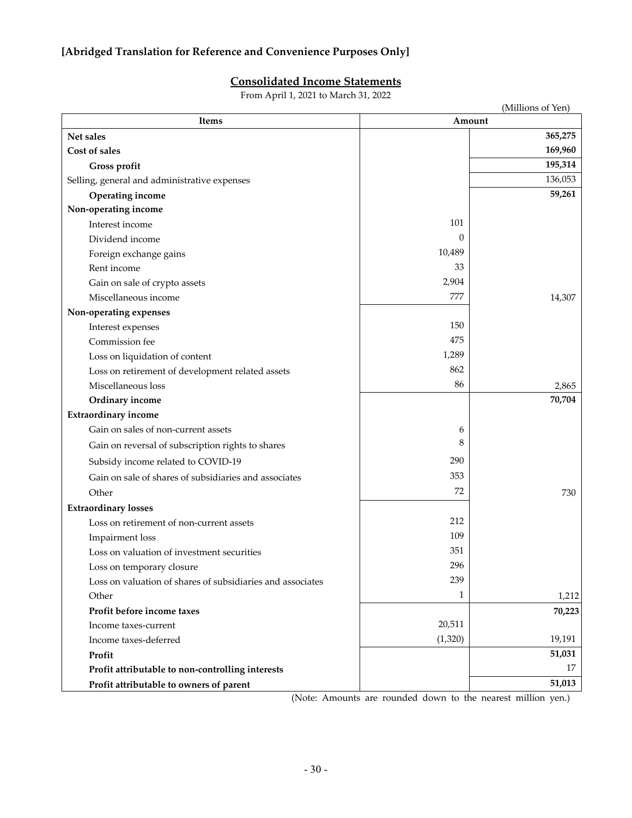# **Consolidated Income Statements**

From April 1, 2021 to March 31, 2022

| <b>Items</b>                                               |          | (Millions of Yen)<br>Amount |
|------------------------------------------------------------|----------|-----------------------------|
| Net sales                                                  |          | 365,275                     |
| Cost of sales                                              |          | 169,960                     |
| Gross profit                                               |          | 195,314                     |
| Selling, general and administrative expenses               |          | 136,053                     |
| Operating income                                           |          | 59,261                      |
| Non-operating income                                       |          |                             |
| Interest income                                            | 101      |                             |
| Dividend income                                            | $\theta$ |                             |
| Foreign exchange gains                                     | 10,489   |                             |
| Rent income                                                | 33       |                             |
| Gain on sale of crypto assets                              | 2,904    |                             |
| Miscellaneous income                                       | 777      | 14,307                      |
| Non-operating expenses                                     |          |                             |
| Interest expenses                                          | 150      |                             |
| Commission fee                                             | 475      |                             |
| Loss on liquidation of content                             | 1,289    |                             |
| Loss on retirement of development related assets           | 862      |                             |
| Miscellaneous loss                                         | 86       | 2,865                       |
| Ordinary income                                            |          | 70,704                      |
| <b>Extraordinary income</b>                                |          |                             |
| Gain on sales of non-current assets                        | 6        |                             |
| Gain on reversal of subscription rights to shares          | 8        |                             |
| Subsidy income related to COVID-19                         | 290      |                             |
| Gain on sale of shares of subsidiaries and associates      | 353      |                             |
| Other                                                      | 72       | 730                         |
| <b>Extraordinary losses</b>                                |          |                             |
| Loss on retirement of non-current assets                   | 212      |                             |
| Impairment loss                                            | 109      |                             |
| Loss on valuation of investment securities                 | 351      |                             |
| Loss on temporary closure                                  | 296      |                             |
| Loss on valuation of shares of subsidiaries and associates | 239      |                             |
| Other                                                      | 1        | 1,212                       |
| Profit before income taxes                                 |          | 70,223                      |
| Income taxes-current                                       | 20,511   |                             |
| Income taxes-deferred                                      | (1,320)  | 19,191                      |
| Profit                                                     |          | 51,031                      |
| Profit attributable to non-controlling interests           |          | 17                          |
| Profit attributable to owners of parent                    |          | 51,013                      |

(Note: Amounts are rounded down to the nearest million yen.)